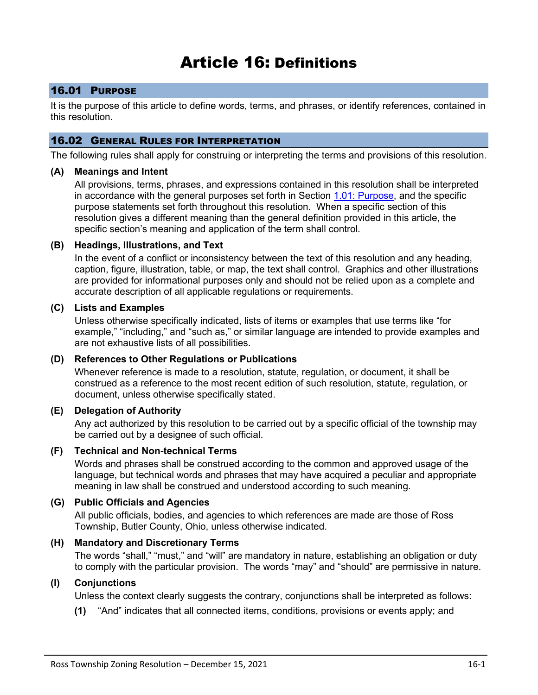# Article 16: Definitions

# 16.01 PURPOSE

It is the purpose of this article to define words, terms, and phrases, or identify references, contained in this resolution.

# 16.02 GENERAL RULES FOR INTERPRETATION

The following rules shall apply for construing or interpreting the terms and provisions of this resolution.

# **(A) Meanings and Intent**

All provisions, terms, phrases, and expressions contained in this resolution shall be interpreted in accordance with the general purposes set forth in Section 1.01: Purpose, and the specific purpose statements set forth throughout this resolution. When a specific section of this resolution gives a different meaning than the general definition provided in this article, the specific section's meaning and application of the term shall control.

# **(B) Headings, Illustrations, and Text**

In the event of a conflict or inconsistency between the text of this resolution and any heading, caption, figure, illustration, table, or map, the text shall control. Graphics and other illustrations are provided for informational purposes only and should not be relied upon as a complete and accurate description of all applicable regulations or requirements.

# **(C) Lists and Examples**

Unless otherwise specifically indicated, lists of items or examples that use terms like "for example," "including," and "such as," or similar language are intended to provide examples and are not exhaustive lists of all possibilities.

# **(D) References to Other Regulations or Publications**

Whenever reference is made to a resolution, statute, regulation, or document, it shall be construed as a reference to the most recent edition of such resolution, statute, regulation, or document, unless otherwise specifically stated.

# **(E) Delegation of Authority**

Any act authorized by this resolution to be carried out by a specific official of the township may be carried out by a designee of such official.

# **(F) Technical and Non-technical Terms**

Words and phrases shall be construed according to the common and approved usage of the language, but technical words and phrases that may have acquired a peculiar and appropriate meaning in law shall be construed and understood according to such meaning.

# **(G) Public Officials and Agencies**

All public officials, bodies, and agencies to which references are made are those of Ross Township, Butler County, Ohio, unless otherwise indicated.

# **(H) Mandatory and Discretionary Terms**

The words "shall," "must," and "will" are mandatory in nature, establishing an obligation or duty to comply with the particular provision. The words "may" and "should" are permissive in nature.

# **(I) Conjunctions**

Unless the context clearly suggests the contrary, conjunctions shall be interpreted as follows:

**(1)** "And" indicates that all connected items, conditions, provisions or events apply; and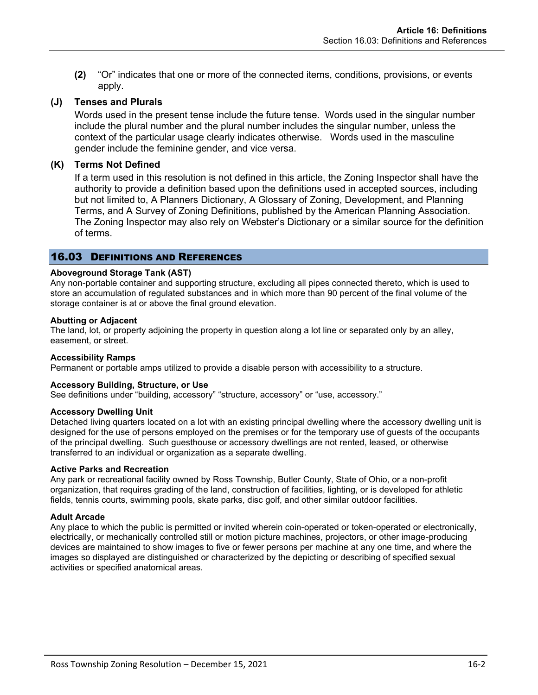**(2)** "Or" indicates that one or more of the connected items, conditions, provisions, or events apply.

# **(J) Tenses and Plurals**

Words used in the present tense include the future tense. Words used in the singular number include the plural number and the plural number includes the singular number, unless the context of the particular usage clearly indicates otherwise. Words used in the masculine gender include the feminine gender, and vice versa.

# **(K) Terms Not Defined**

If a term used in this resolution is not defined in this article, the Zoning Inspector shall have the authority to provide a definition based upon the definitions used in accepted sources, including but not limited to, A Planners Dictionary, A Glossary of Zoning, Development, and Planning Terms, and A Survey of Zoning Definitions, published by the American Planning Association. The Zoning Inspector may also rely on Webster's Dictionary or a similar source for the definition of terms.

# 16.03 DEFINITIONS AND REFERENCES

# **Aboveground Storage Tank (AST)**

Any non-portable container and supporting structure, excluding all pipes connected thereto, which is used to store an accumulation of regulated substances and in which more than 90 percent of the final volume of the storage container is at or above the final ground elevation.

#### **Abutting or Adjacent**

The land, lot, or property adjoining the property in question along a lot line or separated only by an alley, easement, or street.

#### **Accessibility Ramps**

Permanent or portable amps utilized to provide a disable person with accessibility to a structure.

#### **Accessory Building, Structure, or Use**

See definitions under "building, accessory" "structure, accessory" or "use, accessory."

#### **Accessory Dwelling Unit**

Detached living quarters located on a lot with an existing principal dwelling where the accessory dwelling unit is designed for the use of persons employed on the premises or for the temporary use of guests of the occupants of the principal dwelling. Such guesthouse or accessory dwellings are not rented, leased, or otherwise transferred to an individual or organization as a separate dwelling.

#### **Active Parks and Recreation**

Any park or recreational facility owned by Ross Township, Butler County, State of Ohio, or a non-profit organization, that requires grading of the land, construction of facilities, lighting, or is developed for athletic fields, tennis courts, swimming pools, skate parks, disc golf, and other similar outdoor facilities.

#### **Adult Arcade**

Any place to which the public is permitted or invited wherein coin-operated or token-operated or electronically, electrically, or mechanically controlled still or motion picture machines, projectors, or other image-producing devices are maintained to show images to five or fewer persons per machine at any one time, and where the images so displayed are distinguished or characterized by the depicting or describing of specified sexual activities or specified anatomical areas.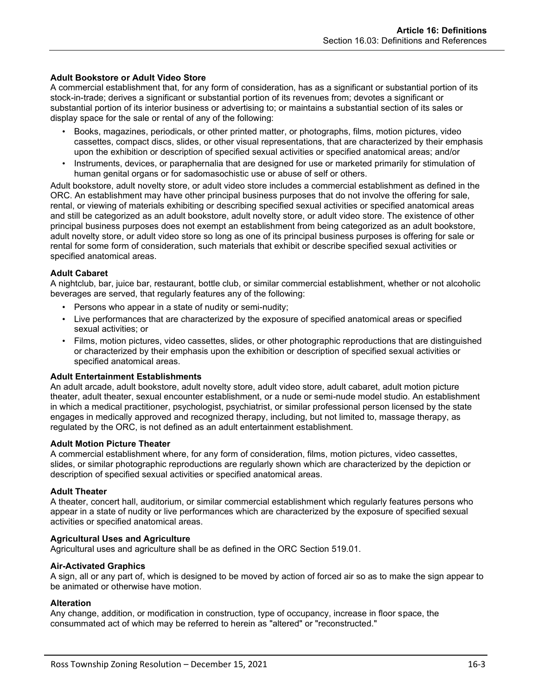# **Adult Bookstore or Adult Video Store**

A commercial establishment that, for any form of consideration, has as a significant or substantial portion of its stock-in-trade; derives a significant or substantial portion of its revenues from; devotes a significant or substantial portion of its interior business or advertising to; or maintains a substantial section of its sales or display space for the sale or rental of any of the following:

- Books, magazines, periodicals, or other printed matter, or photographs, films, motion pictures, video cassettes, compact discs, slides, or other visual representations, that are characterized by their emphasis upon the exhibition or description of specified sexual activities or specified anatomical areas; and/or
- Instruments, devices, or paraphernalia that are designed for use or marketed primarily for stimulation of human genital organs or for sadomasochistic use or abuse of self or others.

Adult bookstore, adult novelty store, or adult video store includes a commercial establishment as defined in the ORC. An establishment may have other principal business purposes that do not involve the offering for sale, rental, or viewing of materials exhibiting or describing specified sexual activities or specified anatomical areas and still be categorized as an adult bookstore, adult novelty store, or adult video store. The existence of other principal business purposes does not exempt an establishment from being categorized as an adult bookstore, adult novelty store, or adult video store so long as one of its principal business purposes is offering for sale or rental for some form of consideration, such materials that exhibit or describe specified sexual activities or specified anatomical areas.

# **Adult Cabaret**

A nightclub, bar, juice bar, restaurant, bottle club, or similar commercial establishment, whether or not alcoholic beverages are served, that regularly features any of the following:

- Persons who appear in a state of nudity or semi-nudity;
- Live performances that are characterized by the exposure of specified anatomical areas or specified sexual activities; or
- Films, motion pictures, video cassettes, slides, or other photographic reproductions that are distinguished or characterized by their emphasis upon the exhibition or description of specified sexual activities or specified anatomical areas.

#### **Adult Entertainment Establishments**

An adult arcade, adult bookstore, adult novelty store, adult video store, adult cabaret, adult motion picture theater, adult theater, sexual encounter establishment, or a nude or semi-nude model studio. An establishment in which a medical practitioner, psychologist, psychiatrist, or similar professional person licensed by the state engages in medically approved and recognized therapy, including, but not limited to, massage therapy, as regulated by the ORC, is not defined as an adult entertainment establishment.

#### **Adult Motion Picture Theater**

A commercial establishment where, for any form of consideration, films, motion pictures, video cassettes, slides, or similar photographic reproductions are regularly shown which are characterized by the depiction or description of specified sexual activities or specified anatomical areas.

#### **Adult Theater**

A theater, concert hall, auditorium, or similar commercial establishment which regularly features persons who appear in a state of nudity or live performances which are characterized by the exposure of specified sexual activities or specified anatomical areas.

#### **Agricultural Uses and Agriculture**

Agricultural uses and agriculture shall be as defined in the ORC Section 519.01.

#### **Air-Activated Graphics**

A sign, all or any part of, which is designed to be moved by action of forced air so as to make the sign appear to be animated or otherwise have motion.

#### **Alteration**

Any change, addition, or modification in construction, type of occupancy, increase in floor space, the consummated act of which may be referred to herein as "altered" or "reconstructed."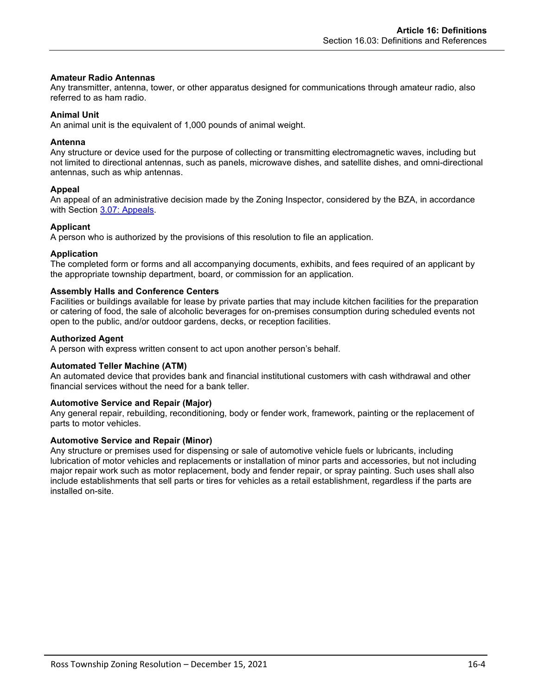#### **Amateur Radio Antennas**

Any transmitter, antenna, tower, or other apparatus designed for communications through amateur radio, also referred to as ham radio.

### **Animal Unit**

An animal unit is the equivalent of 1,000 pounds of animal weight.

### **Antenna**

Any structure or device used for the purpose of collecting or transmitting electromagnetic waves, including but not limited to directional antennas, such as panels, microwave dishes, and satellite dishes, and omni-directional antennas, such as whip antennas.

# **Appeal**

An appeal of an administrative decision made by the Zoning Inspector, considered by the BZA, in accordance with Section 3.07: Appeals.

# **Applicant**

A person who is authorized by the provisions of this resolution to file an application.

# **Application**

The completed form or forms and all accompanying documents, exhibits, and fees required of an applicant by the appropriate township department, board, or commission for an application.

# **Assembly Halls and Conference Centers**

Facilities or buildings available for lease by private parties that may include kitchen facilities for the preparation or catering of food, the sale of alcoholic beverages for on-premises consumption during scheduled events not open to the public, and/or outdoor gardens, decks, or reception facilities.

# **Authorized Agent**

A person with express written consent to act upon another person's behalf.

#### **Automated Teller Machine (ATM)**

An automated device that provides bank and financial institutional customers with cash withdrawal and other financial services without the need for a bank teller.

#### **Automotive Service and Repair (Major)**

Any general repair, rebuilding, reconditioning, body or fender work, framework, painting or the replacement of parts to motor vehicles.

#### **Automotive Service and Repair (Minor)**

Any structure or premises used for dispensing or sale of automotive vehicle fuels or lubricants, including lubrication of motor vehicles and replacements or installation of minor parts and accessories, but not including major repair work such as motor replacement, body and fender repair, or spray painting. Such uses shall also include establishments that sell parts or tires for vehicles as a retail establishment, regardless if the parts are installed on-site.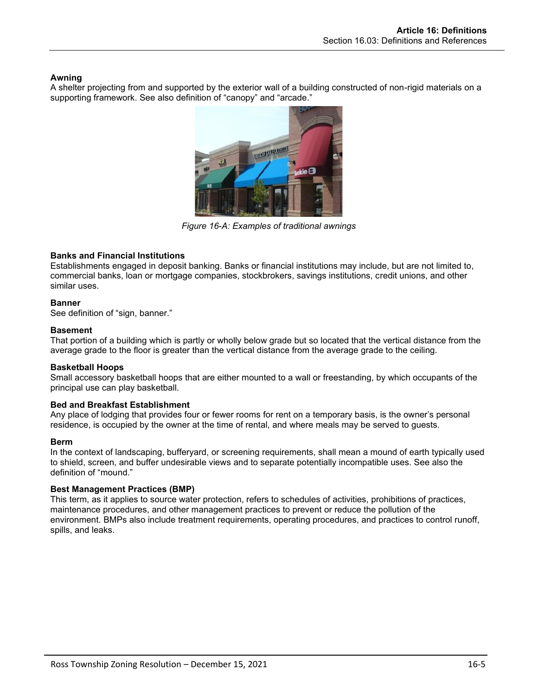# **Awning**

A shelter projecting from and supported by the exterior wall of a building constructed of non-rigid materials on a supporting framework. See also definition of "canopy" and "arcade."



*Figure 16-A: Examples of traditional awnings*

# **Banks and Financial Institutions**

Establishments engaged in deposit banking. Banks or financial institutions may include, but are not limited to, commercial banks, loan or mortgage companies, stockbrokers, savings institutions, credit unions, and other similar uses.

# **Banner**

See definition of "sign, banner."

# **Basement**

That portion of a building which is partly or wholly below grade but so located that the vertical distance from the average grade to the floor is greater than the vertical distance from the average grade to the ceiling.

# **Basketball Hoops**

Small accessory basketball hoops that are either mounted to a wall or freestanding, by which occupants of the principal use can play basketball.

# **Bed and Breakfast Establishment**

Any place of lodging that provides four or fewer rooms for rent on a temporary basis, is the owner's personal residence, is occupied by the owner at the time of rental, and where meals may be served to guests.

# **Berm**

In the context of landscaping, bufferyard, or screening requirements, shall mean a mound of earth typically used to shield, screen, and buffer undesirable views and to separate potentially incompatible uses. See also the definition of "mound."

# **Best Management Practices (BMP)**

This term, as it applies to source water protection, refers to schedules of activities, prohibitions of practices, maintenance procedures, and other management practices to prevent or reduce the pollution of the environment. BMPs also include treatment requirements, operating procedures, and practices to control runoff, spills, and leaks.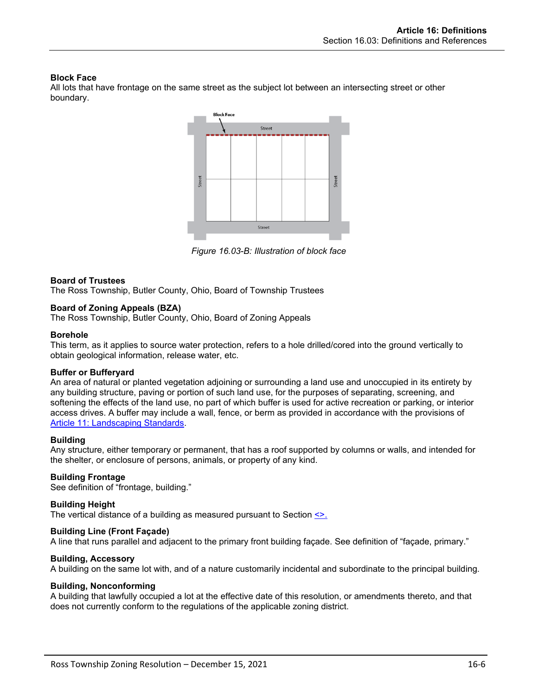# **Block Face**

All lots that have frontage on the same street as the subject lot between an intersecting street or other boundary.



*Figure 16.03-B: Illustration of block face*

# **Board of Trustees**

The Ross Township, Butler County, Ohio, Board of Township Trustees

#### **Board of Zoning Appeals (BZA)**

The Ross Township, Butler County, Ohio, Board of Zoning Appeals

#### **Borehole**

This term, as it applies to source water protection, refers to a hole drilled/cored into the ground vertically to obtain geological information, release water, etc.

#### **Buffer or Bufferyard**

An area of natural or planted vegetation adjoining or surrounding a land use and unoccupied in its entirety by any building structure, paving or portion of such land use, for the purposes of separating, screening, and softening the effects of the land use, no part of which buffer is used for active recreation or parking, or interior access drives. A buffer may include a wall, fence, or berm as provided in accordance with the provisions of Article 11: Landscaping Standards.

#### **Building**

Any structure, either temporary or permanent, that has a roof supported by columns or walls, and intended for the shelter, or enclosure of persons, animals, or property of any kind.

# **Building Frontage**

See definition of "frontage, building."

#### **Building Height**

The vertical distance of a building as measured pursuant to Section <>.

#### **Building Line (Front Façade)**

A line that runs parallel and adjacent to the primary front building façade. See definition of "façade, primary."

# **Building, Accessory**

A building on the same lot with, and of a nature customarily incidental and subordinate to the principal building.

#### **Building, Nonconforming**

A building that lawfully occupied a lot at the effective date of this resolution, or amendments thereto, and that does not currently conform to the regulations of the applicable zoning district.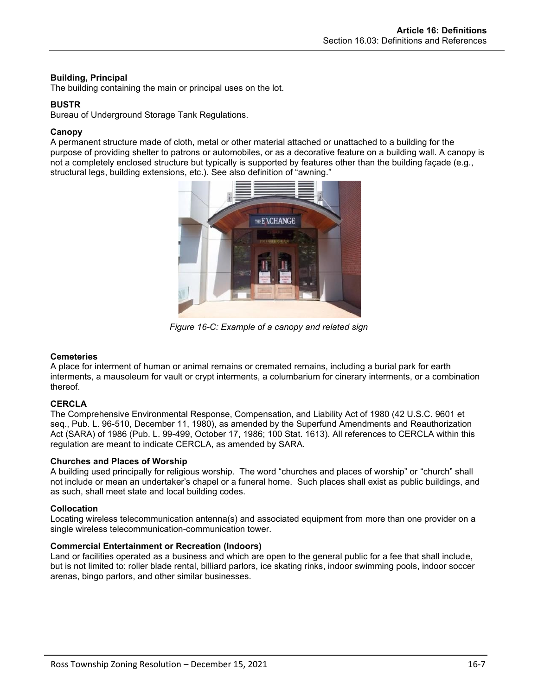# **Building, Principal**

The building containing the main or principal uses on the lot.

# **BUSTR**

Bureau of Underground Storage Tank Regulations.

# **Canopy**

A permanent structure made of cloth, metal or other material attached or unattached to a building for the purpose of providing shelter to patrons or automobiles, or as a decorative feature on a building wall. A canopy is not a completely enclosed structure but typically is supported by features other than the building façade (e.g., structural legs, building extensions, etc.). See also definition of "awning."



*Figure 16-C: Example of a canopy and related sign*

# **Cemeteries**

A place for interment of human or animal remains or cremated remains, including a burial park for earth interments, a mausoleum for vault or crypt interments, a columbarium for cinerary interments, or a combination thereof.

# **CERCLA**

The Comprehensive Environmental Response, Compensation, and Liability Act of 1980 (42 U.S.C. 9601 et seq., Pub. L. 96-510, December 11, 1980), as amended by the Superfund Amendments and Reauthorization Act (SARA) of 1986 (Pub. L. 99-499, October 17, 1986; 100 Stat. 1613). All references to CERCLA within this regulation are meant to indicate CERCLA, as amended by SARA.

# **Churches and Places of Worship**

A building used principally for religious worship. The word "churches and places of worship" or "church" shall not include or mean an undertaker's chapel or a funeral home. Such places shall exist as public buildings, and as such, shall meet state and local building codes.

# **Collocation**

Locating wireless telecommunication antenna(s) and associated equipment from more than one provider on a single wireless telecommunication-communication tower.

#### **Commercial Entertainment or Recreation (Indoors)**

Land or facilities operated as a business and which are open to the general public for a fee that shall include, but is not limited to: roller blade rental, billiard parlors, ice skating rinks, indoor swimming pools, indoor soccer arenas, bingo parlors, and other similar businesses.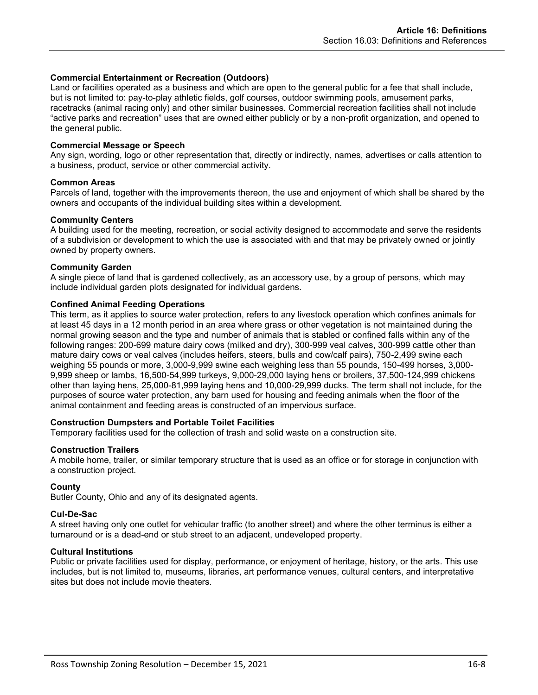#### **Commercial Entertainment or Recreation (Outdoors)**

Land or facilities operated as a business and which are open to the general public for a fee that shall include, but is not limited to: pay-to-play athletic fields, golf courses, outdoor swimming pools, amusement parks, racetracks (animal racing only) and other similar businesses. Commercial recreation facilities shall not include "active parks and recreation" uses that are owned either publicly or by a non-profit organization, and opened to the general public.

#### **Commercial Message or Speech**

Any sign, wording, logo or other representation that, directly or indirectly, names, advertises or calls attention to a business, product, service or other commercial activity.

#### **Common Areas**

Parcels of land, together with the improvements thereon, the use and enjoyment of which shall be shared by the owners and occupants of the individual building sites within a development.

#### **Community Centers**

A building used for the meeting, recreation, or social activity designed to accommodate and serve the residents of a subdivision or development to which the use is associated with and that may be privately owned or jointly owned by property owners.

#### **Community Garden**

A single piece of land that is gardened collectively, as an accessory use, by a group of persons, which may include individual garden plots designated for individual gardens.

#### **Confined Animal Feeding Operations**

This term, as it applies to source water protection, refers to any livestock operation which confines animals for at least 45 days in a 12 month period in an area where grass or other vegetation is not maintained during the normal growing season and the type and number of animals that is stabled or confined falls within any of the following ranges: 200-699 mature dairy cows (milked and dry), 300-999 veal calves, 300-999 cattle other than mature dairy cows or veal calves (includes heifers, steers, bulls and cow/calf pairs), 750-2,499 swine each weighing 55 pounds or more, 3,000-9,999 swine each weighing less than 55 pounds, 150-499 horses, 3,000- 9,999 sheep or lambs, 16,500-54,999 turkeys, 9,000-29,000 laying hens or broilers, 37,500-124,999 chickens other than laying hens, 25,000-81,999 laying hens and 10,000-29,999 ducks. The term shall not include, for the purposes of source water protection, any barn used for housing and feeding animals when the floor of the animal containment and feeding areas is constructed of an impervious surface.

#### **Construction Dumpsters and Portable Toilet Facilities**

Temporary facilities used for the collection of trash and solid waste on a construction site.

#### **Construction Trailers**

A mobile home, trailer, or similar temporary structure that is used as an office or for storage in conjunction with a construction project.

#### **County**

Butler County, Ohio and any of its designated agents.

#### **Cul-De-Sac**

A street having only one outlet for vehicular traffic (to another street) and where the other terminus is either a turnaround or is a dead-end or stub street to an adjacent, undeveloped property.

#### **Cultural Institutions**

Public or private facilities used for display, performance, or enjoyment of heritage, history, or the arts. This use includes, but is not limited to, museums, libraries, art performance venues, cultural centers, and interpretative sites but does not include movie theaters.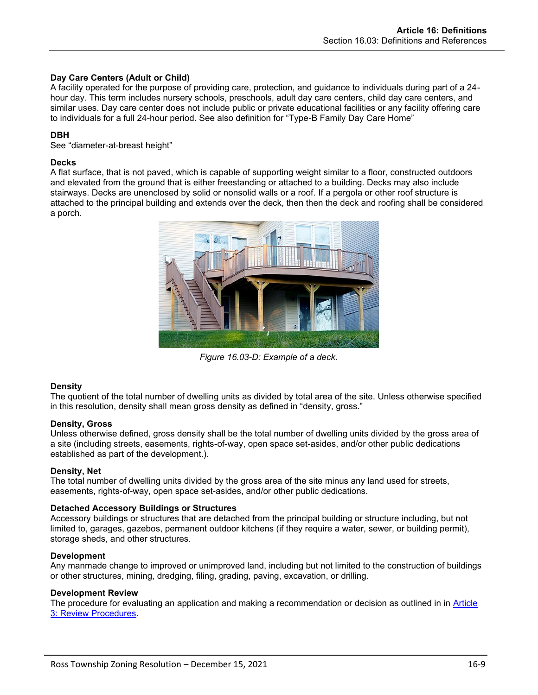# **Day Care Centers (Adult or Child)**

A facility operated for the purpose of providing care, protection, and guidance to individuals during part of a 24 hour day. This term includes nursery schools, preschools, adult day care centers, child day care centers, and similar uses. Day care center does not include public or private educational facilities or any facility offering care to individuals for a full 24-hour period. See also definition for "Type-B Family Day Care Home"

# **DBH**

See "diameter-at-breast height"

#### **Decks**

A flat surface, that is not paved, which is capable of supporting weight similar to a floor, constructed outdoors and elevated from the ground that is either freestanding or attached to a building. Decks may also include stairways. Decks are unenclosed by solid or nonsolid walls or a roof. If a pergola or other roof structure is attached to the principal building and extends over the deck, then then the deck and roofing shall be considered a porch.



*Figure 16.03-D: Example of a deck.*

#### **Density**

The quotient of the total number of dwelling units as divided by total area of the site. Unless otherwise specified in this resolution, density shall mean gross density as defined in "density, gross."

#### **Density, Gross**

Unless otherwise defined, gross density shall be the total number of dwelling units divided by the gross area of a site (including streets, easements, rights-of-way, open space set-asides, and/or other public dedications established as part of the development.).

#### **Density, Net**

The total number of dwelling units divided by the gross area of the site minus any land used for streets, easements, rights-of-way, open space set-asides, and/or other public dedications.

#### **Detached Accessory Buildings or Structures**

Accessory buildings or structures that are detached from the principal building or structure including, but not limited to, garages, gazebos, permanent outdoor kitchens (if they require a water, sewer, or building permit), storage sheds, and other structures.

#### **Development**

Any manmade change to improved or unimproved land, including but not limited to the construction of buildings or other structures, mining, dredging, filing, grading, paving, excavation, or drilling.

#### **Development Review**

The procedure for evaluating an application and making a recommendation or decision as outlined in in Article 3: Review Procedures.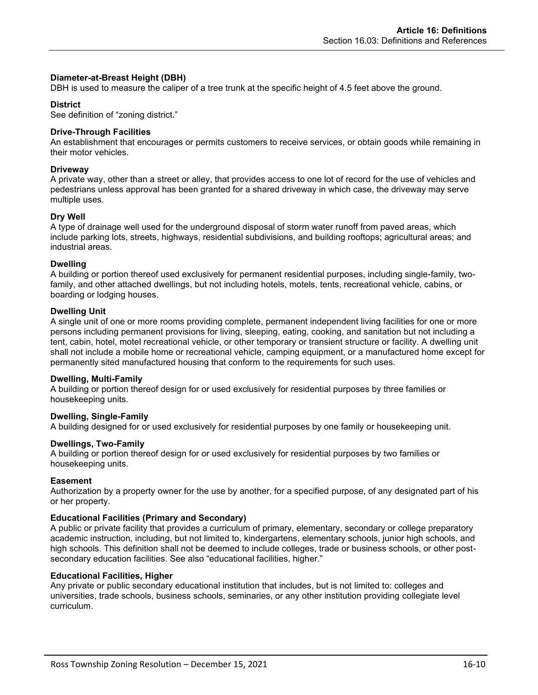#### **Diameter-at-Breast Height (DBH)**

DBH is used to measure the caliper of a tree trunk at the specific height of 4.5 feet above the ground.

### **District**

See definition of "zoning district."

### **Drive-Through Facilities**

An establishment that encourages or permits customers to receive services, or obtain goods while remaining in their motor vehicles.

### **Driveway**

A private way, other than a street or alley, that provides access to one lot of record for the use of vehicles and pedestrians unless approval has been granted for a shared driveway in which case, the driveway may serve multiple uses.

# **Dry Well**

A type of drainage well used for the underground disposal of storm water runoff from paved areas, which include parking lots, streets, highways, residential subdivisions, and building rooftops; agricultural areas; and industrial areas.

#### **Dwelling**

A building or portion thereof used exclusively for permanent residential purposes, including single-family, twofamily, and other attached dwellings, but not including hotels, motels, tents, recreational vehicle, cabins, or boarding or lodging houses.

# **Dwelling Unit**

A single unit of one or more rooms providing complete, permanent independent living facilities for one or more persons including permanent provisions for living, sleeping, eating, cooking, and sanitation but not including a tent, cabin, hotel, motel recreational vehicle, or other temporary or transient structure or facility. A dwelling unit shall not include a mobile home or recreational vehicle, camping equipment, or a manufactured home except for permanently sited manufactured housing that conform to the requirements for such uses.

#### **Dwelling, Multi-Family**

A building or portion thereof design for or used exclusively for residential purposes by three families or housekeeping units.

#### **Dwelling, Single-Family**

A building designed for or used exclusively for residential purposes by one family or housekeeping unit.

#### **Dwellings, Two-Family**

A building or portion thereof design for or used exclusively for residential purposes by two families or housekeeping units.

#### **Easement**

Authorization by a property owner for the use by another, for a specified purpose, of any designated part of his or her property.

#### **Educational Facilities (Primary and Secondary)**

A public or private facility that provides a curriculum of primary, elementary, secondary or college preparatory academic instruction, including, but not limited to, kindergartens, elementary schools, junior high schools, and high schools. This definition shall not be deemed to include colleges, trade or business schools, or other postsecondary education facilities. See also "educational facilities, higher."

#### **Educational Facilities, Higher**

Any private or public secondary educational institution that includes, but is not limited to: colleges and universities, trade schools, business schools, seminaries, or any other institution providing collegiate level curriculum.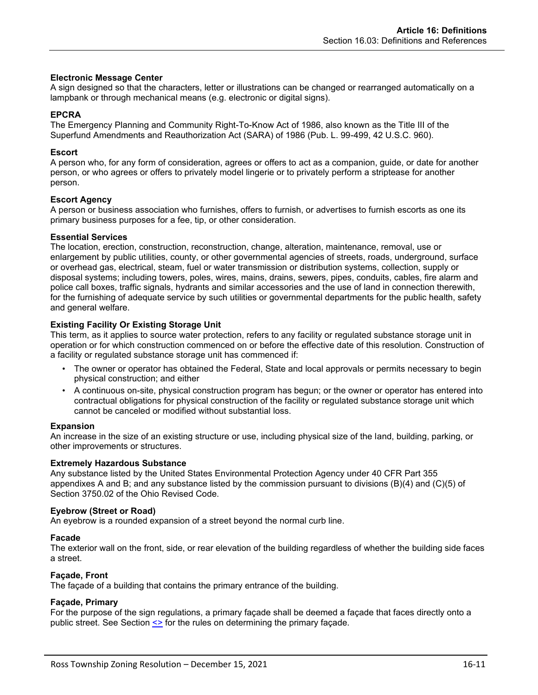### **Electronic Message Center**

A sign designed so that the characters, letter or illustrations can be changed or rearranged automatically on a lampbank or through mechanical means (e.g. electronic or digital signs).

#### **EPCRA**

The Emergency Planning and Community Right-To-Know Act of 1986, also known as the Title III of the Superfund Amendments and Reauthorization Act (SARA) of 1986 (Pub. L. 99-499, 42 U.S.C. 960).

### **Escort**

A person who, for any form of consideration, agrees or offers to act as a companion, guide, or date for another person, or who agrees or offers to privately model lingerie or to privately perform a striptease for another person.

# **Escort Agency**

A person or business association who furnishes, offers to furnish, or advertises to furnish escorts as one its primary business purposes for a fee, tip, or other consideration.

#### **Essential Services**

The location, erection, construction, reconstruction, change, alteration, maintenance, removal, use or enlargement by public utilities, county, or other governmental agencies of streets, roads, underground, surface or overhead gas, electrical, steam, fuel or water transmission or distribution systems, collection, supply or disposal systems; including towers, poles, wires, mains, drains, sewers, pipes, conduits, cables, fire alarm and police call boxes, traffic signals, hydrants and similar accessories and the use of land in connection therewith, for the furnishing of adequate service by such utilities or governmental departments for the public health, safety and general welfare.

# **Existing Facility Or Existing Storage Unit**

This term, as it applies to source water protection, refers to any facility or regulated substance storage unit in operation or for which construction commenced on or before the effective date of this resolution. Construction of a facility or regulated substance storage unit has commenced if:

- The owner or operator has obtained the Federal, State and local approvals or permits necessary to begin physical construction; and either
- A continuous on-site, physical construction program has begun; or the owner or operator has entered into contractual obligations for physical construction of the facility or regulated substance storage unit which cannot be canceled or modified without substantial loss.

#### **Expansion**

An increase in the size of an existing structure or use, including physical size of the land, building, parking, or other improvements or structures.

#### **Extremely Hazardous Substance**

Any substance listed by the United States Environmental Protection Agency under 40 CFR Part 355 appendixes A and B; and any substance listed by the commission pursuant to divisions (B)(4) and (C)(5) of Section 3750.02 of the Ohio Revised Code.

### **Eyebrow (Street or Road)**

An eyebrow is a rounded expansion of a street beyond the normal curb line.

#### **Facade**

The exterior wall on the front, side, or rear elevation of the building regardless of whether the building side faces a street.

#### **Façade, Front**

The façade of a building that contains the primary entrance of the building.

# **Façade, Primary**

For the purpose of the sign regulations, a primary façade shall be deemed a façade that faces directly onto a public street. See Section <> for the rules on determining the primary façade.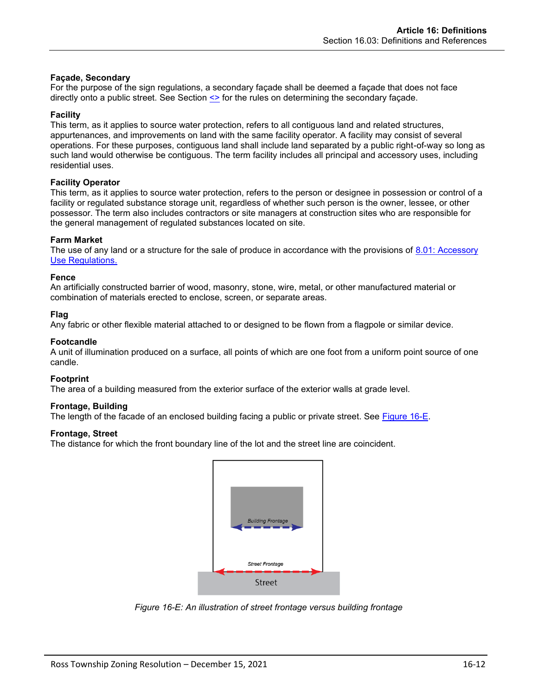# **Façade, Secondary**

For the purpose of the sign regulations, a secondary façade shall be deemed a façade that does not face directly onto a public street. See Section <> for the rules on determining the secondary façade.

#### **Facility**

This term, as it applies to source water protection, refers to all contiguous land and related structures, appurtenances, and improvements on land with the same facility operator. A facility may consist of several operations. For these purposes, contiguous land shall include land separated by a public right-of-way so long as such land would otherwise be contiguous. The term facility includes all principal and accessory uses, including residential uses.

# **Facility Operator**

This term, as it applies to source water protection, refers to the person or designee in possession or control of a facility or regulated substance storage unit, regardless of whether such person is the owner, lessee, or other possessor. The term also includes contractors or site managers at construction sites who are responsible for the general management of regulated substances located on site.

# **Farm Market**

The use of any land or a structure for the sale of produce in accordance with the provisions of 8.01: Accessory Use Regulations.

#### **Fence**

An artificially constructed barrier of wood, masonry, stone, wire, metal, or other manufactured material or combination of materials erected to enclose, screen, or separate areas.

#### **Flag**

Any fabric or other flexible material attached to or designed to be flown from a flagpole or similar device.

#### **Footcandle**

A unit of illumination produced on a surface, all points of which are one foot from a uniform point source of one candle.

#### **Footprint**

The area of a building measured from the exterior surface of the exterior walls at grade level.

# **Frontage, Building**

The length of the facade of an enclosed building facing a public or private street. See [Figure 16-E.](#page-11-0)

### **Frontage, Street**

The distance for which the front boundary line of the lot and the street line are coincident.



<span id="page-11-0"></span>*Figure 16-E: An illustration of street frontage versus building frontage*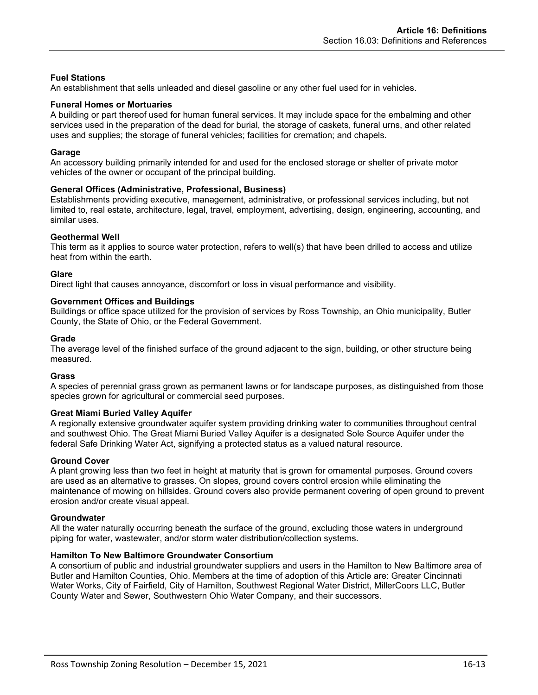# **Fuel Stations**

An establishment that sells unleaded and diesel gasoline or any other fuel used for in vehicles.

#### **Funeral Homes or Mortuaries**

A building or part thereof used for human funeral services. It may include space for the embalming and other services used in the preparation of the dead for burial, the storage of caskets, funeral urns, and other related uses and supplies; the storage of funeral vehicles; facilities for cremation; and chapels.

#### **Garage**

An accessory building primarily intended for and used for the enclosed storage or shelter of private motor vehicles of the owner or occupant of the principal building.

#### **General Offices (Administrative, Professional, Business)**

Establishments providing executive, management, administrative, or professional services including, but not limited to, real estate, architecture, legal, travel, employment, advertising, design, engineering, accounting, and similar uses.

#### **Geothermal Well**

This term as it applies to source water protection, refers to well(s) that have been drilled to access and utilize heat from within the earth.

#### **Glare**

Direct light that causes annoyance, discomfort or loss in visual performance and visibility.

#### **Government Offices and Buildings**

Buildings or office space utilized for the provision of services by Ross Township, an Ohio municipality, Butler County, the State of Ohio, or the Federal Government.

#### **Grade**

The average level of the finished surface of the ground adjacent to the sign, building, or other structure being measured.

#### **Grass**

A species of perennial grass grown as permanent lawns or for landscape purposes, as distinguished from those species grown for agricultural or commercial seed purposes.

#### **Great Miami Buried Valley Aquifer**

A regionally extensive groundwater aquifer system providing drinking water to communities throughout central and southwest Ohio. The Great Miami Buried Valley Aquifer is a designated Sole Source Aquifer under the federal Safe Drinking Water Act, signifying a protected status as a valued natural resource.

#### **Ground Cover**

A plant growing less than two feet in height at maturity that is grown for ornamental purposes. Ground covers are used as an alternative to grasses. On slopes, ground covers control erosion while eliminating the maintenance of mowing on hillsides. Ground covers also provide permanent covering of open ground to prevent erosion and/or create visual appeal.

#### **Groundwater**

All the water naturally occurring beneath the surface of the ground, excluding those waters in underground piping for water, wastewater, and/or storm water distribution/collection systems.

#### **Hamilton To New Baltimore Groundwater Consortium**

A consortium of public and industrial groundwater suppliers and users in the Hamilton to New Baltimore area of Butler and Hamilton Counties, Ohio. Members at the time of adoption of this Article are: Greater Cincinnati Water Works, City of Fairfield, City of Hamilton, Southwest Regional Water District, MillerCoors LLC, Butler County Water and Sewer, Southwestern Ohio Water Company, and their successors.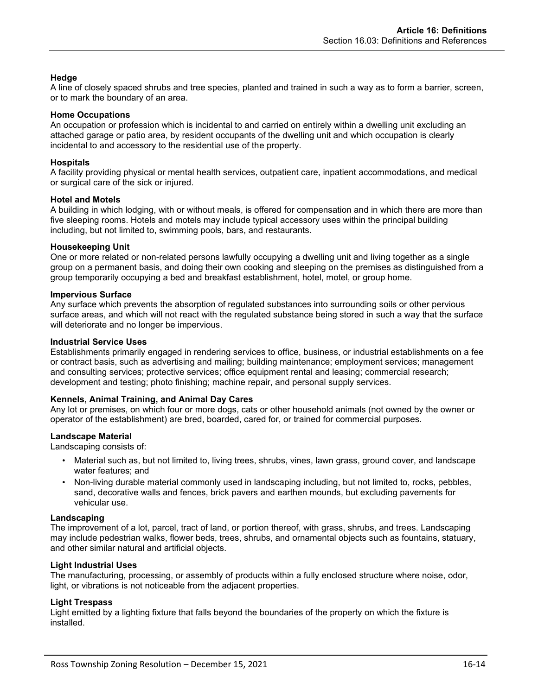# **Hedge**

A line of closely spaced shrubs and tree species, planted and trained in such a way as to form a barrier, screen, or to mark the boundary of an area.

### **Home Occupations**

An occupation or profession which is incidental to and carried on entirely within a dwelling unit excluding an attached garage or patio area, by resident occupants of the dwelling unit and which occupation is clearly incidental to and accessory to the residential use of the property.

#### **Hospitals**

A facility providing physical or mental health services, outpatient care, inpatient accommodations, and medical or surgical care of the sick or injured.

#### **Hotel and Motels**

A building in which lodging, with or without meals, is offered for compensation and in which there are more than five sleeping rooms. Hotels and motels may include typical accessory uses within the principal building including, but not limited to, swimming pools, bars, and restaurants.

#### **Housekeeping Unit**

One or more related or non-related persons lawfully occupying a dwelling unit and living together as a single group on a permanent basis, and doing their own cooking and sleeping on the premises as distinguished from a group temporarily occupying a bed and breakfast establishment, hotel, motel, or group home.

#### **Impervious Surface**

Any surface which prevents the absorption of regulated substances into surrounding soils or other pervious surface areas, and which will not react with the regulated substance being stored in such a way that the surface will deteriorate and no longer be impervious.

#### **Industrial Service Uses**

Establishments primarily engaged in rendering services to office, business, or industrial establishments on a fee or contract basis, such as advertising and mailing; building maintenance; employment services; management and consulting services; protective services; office equipment rental and leasing; commercial research; development and testing; photo finishing; machine repair, and personal supply services.

#### **Kennels, Animal Training, and Animal Day Cares**

Any lot or premises, on which four or more dogs, cats or other household animals (not owned by the owner or operator of the establishment) are bred, boarded, cared for, or trained for commercial purposes.

# **Landscape Material**

Landscaping consists of:

- Material such as, but not limited to, living trees, shrubs, vines, lawn grass, ground cover, and landscape water features; and
- Non-living durable material commonly used in landscaping including, but not limited to, rocks, pebbles, sand, decorative walls and fences, brick pavers and earthen mounds, but excluding pavements for vehicular use.

#### **Landscaping**

The improvement of a lot, parcel, tract of land, or portion thereof, with grass, shrubs, and trees. Landscaping may include pedestrian walks, flower beds, trees, shrubs, and ornamental objects such as fountains, statuary, and other similar natural and artificial objects.

#### **Light Industrial Uses**

The manufacturing, processing, or assembly of products within a fully enclosed structure where noise, odor, light, or vibrations is not noticeable from the adjacent properties.

#### **Light Trespass**

Light emitted by a lighting fixture that falls beyond the boundaries of the property on which the fixture is installed.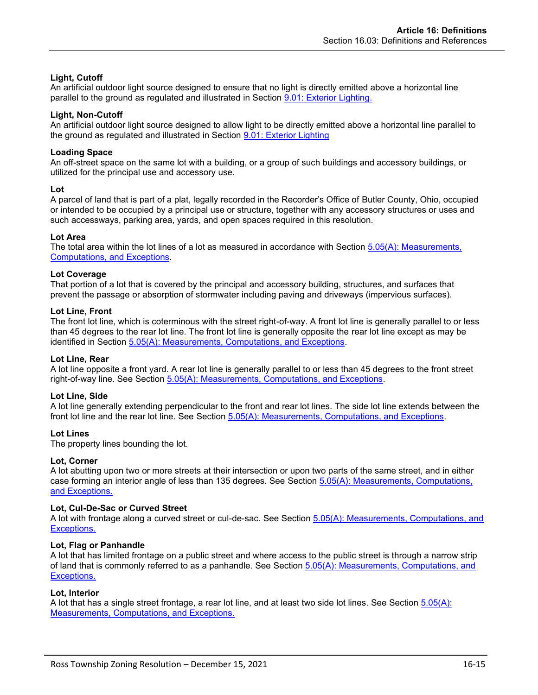# **Light, Cutoff**

An artificial outdoor light source designed to ensure that no light is directly emitted above a horizontal line parallel to the ground as regulated and illustrated in Section 9.01: Exterior Lighting.

# **Light, Non-Cutoff**

An artificial outdoor light source designed to allow light to be directly emitted above a horizontal line parallel to the ground as regulated and illustrated in Section 9.01: Exterior Lighting

# **Loading Space**

An off-street space on the same lot with a building, or a group of such buildings and accessory buildings, or utilized for the principal use and accessory use.

# **Lot**

A parcel of land that is part of a plat, legally recorded in the Recorder's Office of Butler County, Ohio, occupied or intended to be occupied by a principal use or structure, together with any accessory structures or uses and such accessways, parking area, yards, and open spaces required in this resolution.

# **Lot Area**

The total area within the lot lines of a lot as measured in accordance with Section 5.05(A): Measurements, Computations, and Exceptions.

# **Lot Coverage**

That portion of a lot that is covered by the principal and accessory building, structures, and surfaces that prevent the passage or absorption of stormwater including paving and driveways (impervious surfaces).

# **Lot Line, Front**

The front lot line, which is coterminous with the street right-of-way. A front lot line is generally parallel to or less than 45 degrees to the rear lot line. The front lot line is generally opposite the rear lot line except as may be identified in Section 5.05(A): Measurements, Computations, and Exceptions.

#### **Lot Line, Rear**

A lot line opposite a front yard. A rear lot line is generally parallel to or less than 45 degrees to the front street right-of-way line. See Section 5.05(A): Measurements, Computations, and Exceptions.

# **Lot Line, Side**

A lot line generally extending perpendicular to the front and rear lot lines. The side lot line extends between the front lot line and the rear lot line. See Section 5.05(A): Measurements, Computations, and Exceptions.

#### **Lot Lines**

The property lines bounding the lot.

#### **Lot, Corner**

A lot abutting upon two or more streets at their intersection or upon two parts of the same street, and in either case forming an interior angle of less than 135 degrees. See Section 5.05(A): Measurements, Computations, and Exceptions.

#### **Lot, Cul-De-Sac or Curved Street**

A lot with frontage along a curved street or cul-de-sac. See Section 5.05(A): Measurements, Computations, and Exceptions.

#### **Lot, Flag or Panhandle**

A lot that has limited frontage on a public street and where access to the public street is through a narrow strip of land that is commonly referred to as a panhandle. See Section 5.05(A): Measurements, Computations, and Exceptions.

#### **Lot, Interior**

A lot that has a single street frontage, a rear lot line, and at least two side lot lines. See Section 5.05(A): Measurements, Computations, and Exceptions.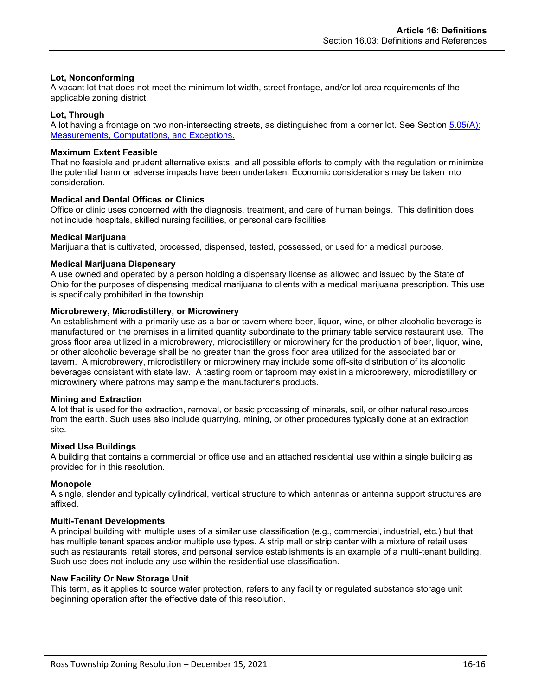# **Lot, Nonconforming**

A vacant lot that does not meet the minimum lot width, street frontage, and/or lot area requirements of the applicable zoning district.

### **Lot, Through**

A lot having a frontage on two non-intersecting streets, as distinguished from a corner lot. See Section 5.05(A): Measurements, Computations, and Exceptions.

#### **Maximum Extent Feasible**

That no feasible and prudent alternative exists, and all possible efforts to comply with the regulation or minimize the potential harm or adverse impacts have been undertaken. Economic considerations may be taken into consideration.

# **Medical and Dental Offices or Clinics**

Office or clinic uses concerned with the diagnosis, treatment, and care of human beings. This definition does not include hospitals, skilled nursing facilities, or personal care facilities

# **Medical Marijuana**

Marijuana that is cultivated, processed, dispensed, tested, possessed, or used for a medical purpose.

#### **Medical Marijuana Dispensary**

A use owned and operated by a person holding a dispensary license as allowed and issued by the State of Ohio for the purposes of dispensing medical marijuana to clients with a medical marijuana prescription. This use is specifically prohibited in the township.

# **Microbrewery, Microdistillery, or Microwinery**

An establishment with a primarily use as a bar or tavern where beer, liquor, wine, or other alcoholic beverage is manufactured on the premises in a limited quantity subordinate to the primary table service restaurant use. The gross floor area utilized in a microbrewery, microdistillery or microwinery for the production of beer, liquor, wine, or other alcoholic beverage shall be no greater than the gross floor area utilized for the associated bar or tavern. A microbrewery, microdistillery or microwinery may include some off-site distribution of its alcoholic beverages consistent with state law. A tasting room or taproom may exist in a microbrewery, microdistillery or microwinery where patrons may sample the manufacturer's products.

#### **Mining and Extraction**

A lot that is used for the extraction, removal, or basic processing of minerals, soil, or other natural resources from the earth. Such uses also include quarrying, mining, or other procedures typically done at an extraction site.

#### **Mixed Use Buildings**

A building that contains a commercial or office use and an attached residential use within a single building as provided for in this resolution.

#### **Monopole**

A single, slender and typically cylindrical, vertical structure to which antennas or antenna support structures are affixed.

#### **Multi-Tenant Developments**

A principal building with multiple uses of a similar use classification (e.g., commercial, industrial, etc.) but that has multiple tenant spaces and/or multiple use types. A strip mall or strip center with a mixture of retail uses such as restaurants, retail stores, and personal service establishments is an example of a multi-tenant building. Such use does not include any use within the residential use classification.

#### **New Facility Or New Storage Unit**

This term, as it applies to source water protection, refers to any facility or regulated substance storage unit beginning operation after the effective date of this resolution.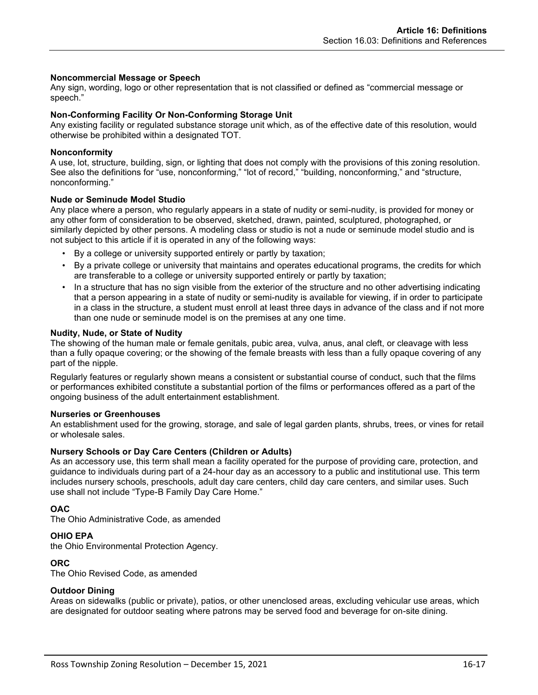#### **Noncommercial Message or Speech**

Any sign, wording, logo or other representation that is not classified or defined as "commercial message or speech."

# **Non-Conforming Facility Or Non-Conforming Storage Unit**

Any existing facility or regulated substance storage unit which, as of the effective date of this resolution, would otherwise be prohibited within a designated TOT.

#### **Nonconformity**

A use, lot, structure, building, sign, or lighting that does not comply with the provisions of this zoning resolution. See also the definitions for "use, nonconforming," "lot of record," "building, nonconforming," and "structure, nonconforming."

#### **Nude or Seminude Model Studio**

Any place where a person, who regularly appears in a state of nudity or semi-nudity, is provided for money or any other form of consideration to be observed, sketched, drawn, painted, sculptured, photographed, or similarly depicted by other persons. A modeling class or studio is not a nude or seminude model studio and is not subject to this article if it is operated in any of the following ways:

- By a college or university supported entirely or partly by taxation;
- By a private college or university that maintains and operates educational programs, the credits for which are transferable to a college or university supported entirely or partly by taxation;
- In a structure that has no sign visible from the exterior of the structure and no other advertising indicating that a person appearing in a state of nudity or semi-nudity is available for viewing, if in order to participate in a class in the structure, a student must enroll at least three days in advance of the class and if not more than one nude or seminude model is on the premises at any one time.

#### **Nudity, Nude, or State of Nudity**

The showing of the human male or female genitals, pubic area, vulva, anus, anal cleft, or cleavage with less than a fully opaque covering; or the showing of the female breasts with less than a fully opaque covering of any part of the nipple.

Regularly features or regularly shown means a consistent or substantial course of conduct, such that the films or performances exhibited constitute a substantial portion of the films or performances offered as a part of the ongoing business of the adult entertainment establishment.

#### **Nurseries or Greenhouses**

An establishment used for the growing, storage, and sale of legal garden plants, shrubs, trees, or vines for retail or wholesale sales.

#### **Nursery Schools or Day Care Centers (Children or Adults)**

As an accessory use, this term shall mean a facility operated for the purpose of providing care, protection, and guidance to individuals during part of a 24-hour day as an accessory to a public and institutional use. This term includes nursery schools, preschools, adult day care centers, child day care centers, and similar uses. Such use shall not include "Type-B Family Day Care Home."

#### **OAC**

The Ohio Administrative Code, as amended

# **OHIO EPA**

the Ohio Environmental Protection Agency.

#### **ORC**

The Ohio Revised Code, as amended

#### **Outdoor Dining**

Areas on sidewalks (public or private), patios, or other unenclosed areas, excluding vehicular use areas, which are designated for outdoor seating where patrons may be served food and beverage for on-site dining.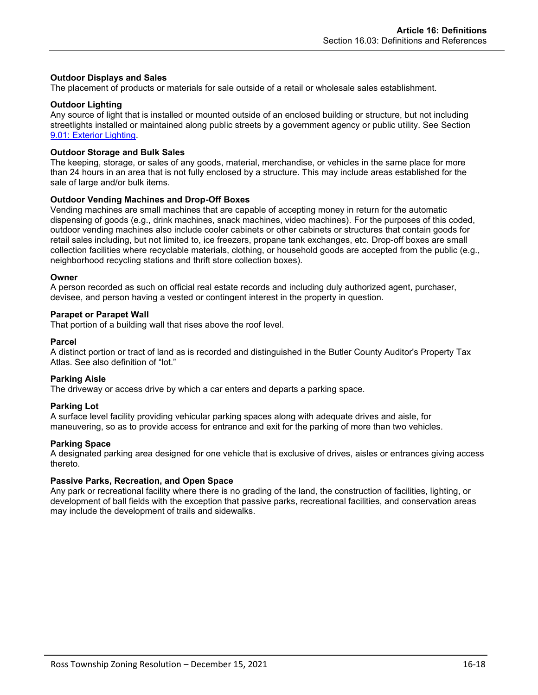### **Outdoor Displays and Sales**

The placement of products or materials for sale outside of a retail or wholesale sales establishment.

#### **Outdoor Lighting**

Any source of light that is installed or mounted outside of an enclosed building or structure, but not including streetlights installed or maintained along public streets by a government agency or public utility. See Section 9.01: Exterior Lighting.

#### **Outdoor Storage and Bulk Sales**

The keeping, storage, or sales of any goods, material, merchandise, or vehicles in the same place for more than 24 hours in an area that is not fully enclosed by a structure. This may include areas established for the sale of large and/or bulk items.

#### **Outdoor Vending Machines and Drop-Off Boxes**

Vending machines are small machines that are capable of accepting money in return for the automatic dispensing of goods (e.g., drink machines, snack machines, video machines). For the purposes of this coded, outdoor vending machines also include cooler cabinets or other cabinets or structures that contain goods for retail sales including, but not limited to, ice freezers, propane tank exchanges, etc. Drop-off boxes are small collection facilities where recyclable materials, clothing, or household goods are accepted from the public (e.g., neighborhood recycling stations and thrift store collection boxes).

#### **Owner**

A person recorded as such on official real estate records and including duly authorized agent, purchaser, devisee, and person having a vested or contingent interest in the property in question.

#### **Parapet or Parapet Wall**

That portion of a building wall that rises above the roof level.

#### **Parcel**

A distinct portion or tract of land as is recorded and distinguished in the Butler County Auditor's Property Tax Atlas. See also definition of "lot."

#### **Parking Aisle**

The driveway or access drive by which a car enters and departs a parking space.

#### **Parking Lot**

A surface level facility providing vehicular parking spaces along with adequate drives and aisle, for maneuvering, so as to provide access for entrance and exit for the parking of more than two vehicles.

#### **Parking Space**

A designated parking area designed for one vehicle that is exclusive of drives, aisles or entrances giving access thereto.

#### **Passive Parks, Recreation, and Open Space**

Any park or recreational facility where there is no grading of the land, the construction of facilities, lighting, or development of ball fields with the exception that passive parks, recreational facilities, and conservation areas may include the development of trails and sidewalks.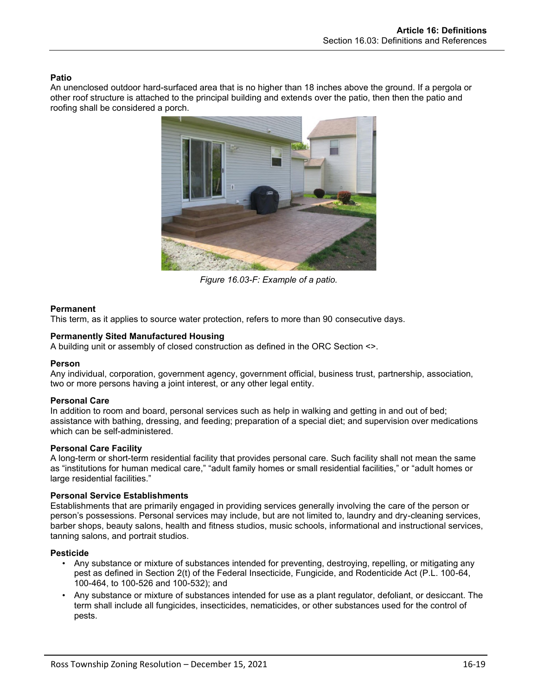# **Patio**

An unenclosed outdoor hard-surfaced area that is no higher than 18 inches above the ground. If a pergola or other roof structure is attached to the principal building and extends over the patio, then then the patio and roofing shall be considered a porch.



*Figure 16.03-F: Example of a patio.*

# **Permanent**

This term, as it applies to source water protection, refers to more than 90 consecutive days.

# **Permanently Sited Manufactured Housing**

A building unit or assembly of closed construction as defined in the ORC Section <>.

#### **Person**

Any individual, corporation, government agency, government official, business trust, partnership, association, two or more persons having a joint interest, or any other legal entity.

# **Personal Care**

In addition to room and board, personal services such as help in walking and getting in and out of bed; assistance with bathing, dressing, and feeding; preparation of a special diet; and supervision over medications which can be self-administered.

#### **Personal Care Facility**

A long-term or short-term residential facility that provides personal care. Such facility shall not mean the same as "institutions for human medical care," "adult family homes or small residential facilities," or "adult homes or large residential facilities."

#### **Personal Service Establishments**

Establishments that are primarily engaged in providing services generally involving the care of the person or person's possessions. Personal services may include, but are not limited to, laundry and dry-cleaning services, barber shops, beauty salons, health and fitness studios, music schools, informational and instructional services, tanning salons, and portrait studios.

#### **Pesticide**

- Any substance or mixture of substances intended for preventing, destroying, repelling, or mitigating any pest as defined in Section 2(t) of the Federal Insecticide, Fungicide, and Rodenticide Act (P.L. 100-64, 100-464, to 100-526 and 100-532); and
- Any substance or mixture of substances intended for use as a plant regulator, defoliant, or desiccant. The term shall include all fungicides, insecticides, nematicides, or other substances used for the control of pests.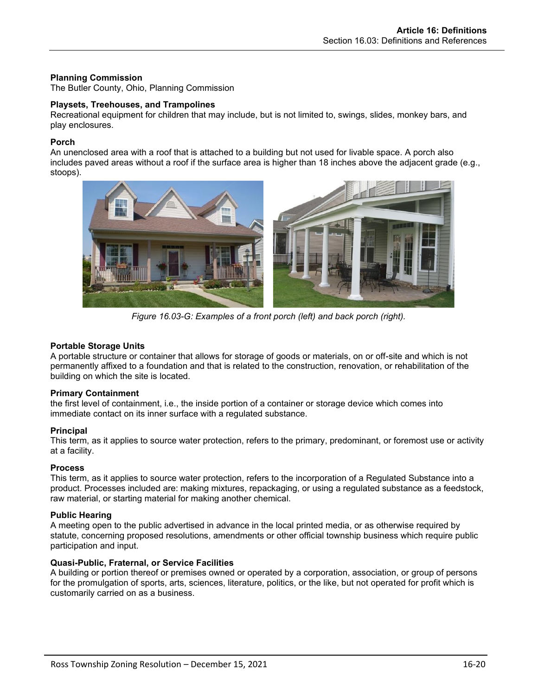# **Planning Commission**

The Butler County, Ohio, Planning Commission

#### **Playsets, Treehouses, and Trampolines**

Recreational equipment for children that may include, but is not limited to, swings, slides, monkey bars, and play enclosures.

#### **Porch**

An unenclosed area with a roof that is attached to a building but not used for livable space. A porch also includes paved areas without a roof if the surface area is higher than 18 inches above the adjacent grade (e.g., stoops).



*Figure 16.03-G: Examples of a front porch (left) and back porch (right).*

# **Portable Storage Units**

A portable structure or container that allows for storage of goods or materials, on or off-site and which is not permanently affixed to a foundation and that is related to the construction, renovation, or rehabilitation of the building on which the site is located.

#### **Primary Containment**

the first level of containment, i.e., the inside portion of a container or storage device which comes into immediate contact on its inner surface with a regulated substance.

#### **Principal**

This term, as it applies to source water protection, refers to the primary, predominant, or foremost use or activity at a facility.

#### **Process**

This term, as it applies to source water protection, refers to the incorporation of a Regulated Substance into a product. Processes included are: making mixtures, repackaging, or using a regulated substance as a feedstock, raw material, or starting material for making another chemical.

#### **Public Hearing**

A meeting open to the public advertised in advance in the local printed media, or as otherwise required by statute, concerning proposed resolutions, amendments or other official township business which require public participation and input.

# **Quasi-Public, Fraternal, or Service Facilities**

A building or portion thereof or premises owned or operated by a corporation, association, or group of persons for the promulgation of sports, arts, sciences, literature, politics, or the like, but not operated for profit which is customarily carried on as a business.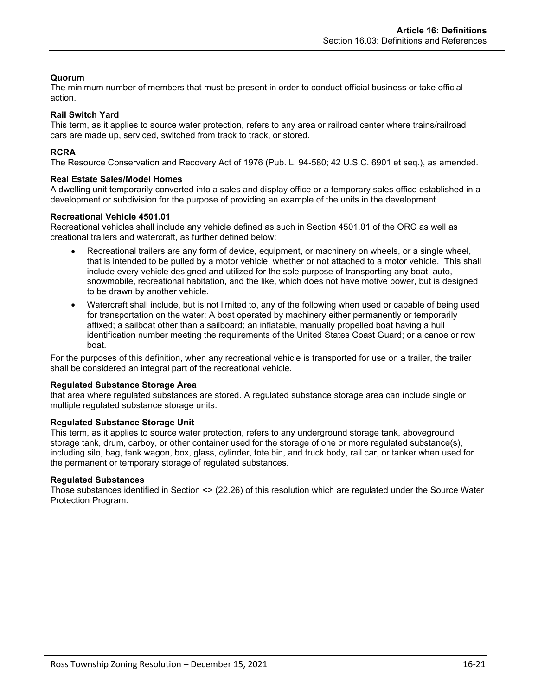# **Quorum**

The minimum number of members that must be present in order to conduct official business or take official action.

# **Rail Switch Yard**

This term, as it applies to source water protection, refers to any area or railroad center where trains/railroad cars are made up, serviced, switched from track to track, or stored.

# **RCRA**

The Resource Conservation and Recovery Act of 1976 (Pub. L. 94-580; 42 U.S.C. 6901 et seq.), as amended.

# **Real Estate Sales/Model Homes**

A dwelling unit temporarily converted into a sales and display office or a temporary sales office established in a development or subdivision for the purpose of providing an example of the units in the development.

#### **Recreational Vehicle 4501.01**

Recreational vehicles shall include any vehicle defined as such in Section 4501.01 of the ORC as well as creational trailers and watercraft, as further defined below:

- Recreational trailers are any form of device, equipment, or machinery on wheels, or a single wheel, that is intended to be pulled by a motor vehicle, whether or not attached to a motor vehicle. This shall include every vehicle designed and utilized for the sole purpose of transporting any boat, auto, snowmobile, recreational habitation, and the like, which does not have motive power, but is designed to be drawn by another vehicle.
- Watercraft shall include, but is not limited to, any of the following when used or capable of being used for transportation on the water: A boat operated by machinery either permanently or temporarily affixed; a sailboat other than a sailboard; an inflatable, manually propelled boat having a hull identification number meeting the requirements of the United States Coast Guard; or a canoe or row boat.

For the purposes of this definition, when any recreational vehicle is transported for use on a trailer, the trailer shall be considered an integral part of the recreational vehicle.

#### **Regulated Substance Storage Area**

that area where regulated substances are stored. A regulated substance storage area can include single or multiple regulated substance storage units.

#### **Regulated Substance Storage Unit**

This term, as it applies to source water protection, refers to any underground storage tank, aboveground storage tank, drum, carboy, or other container used for the storage of one or more regulated substance(s), including silo, bag, tank wagon, box, glass, cylinder, tote bin, and truck body, rail car, or tanker when used for the permanent or temporary storage of regulated substances.

#### **Regulated Substances**

Those substances identified in Section <> (22.26) of this resolution which are regulated under the Source Water Protection Program.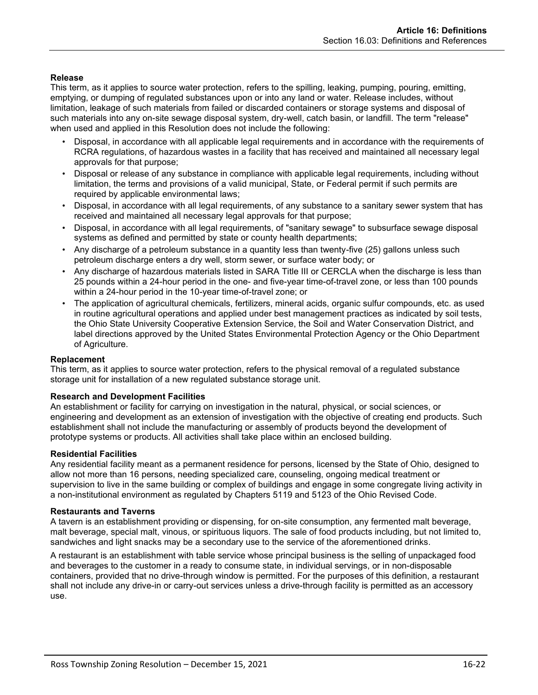# **Release**

This term, as it applies to source water protection, refers to the spilling, leaking, pumping, pouring, emitting, emptying, or dumping of regulated substances upon or into any land or water. Release includes, without limitation, leakage of such materials from failed or discarded containers or storage systems and disposal of such materials into any on-site sewage disposal system, dry-well, catch basin, or landfill. The term "release" when used and applied in this Resolution does not include the following:

- Disposal, in accordance with all applicable legal requirements and in accordance with the requirements of RCRA regulations, of hazardous wastes in a facility that has received and maintained all necessary legal approvals for that purpose;
- Disposal or release of any substance in compliance with applicable legal requirements, including without limitation, the terms and provisions of a valid municipal, State, or Federal permit if such permits are required by applicable environmental laws;
- Disposal, in accordance with all legal requirements, of any substance to a sanitary sewer system that has received and maintained all necessary legal approvals for that purpose;
- Disposal, in accordance with all legal requirements, of "sanitary sewage" to subsurface sewage disposal systems as defined and permitted by state or county health departments;
- Any discharge of a petroleum substance in a quantity less than twenty-five (25) gallons unless such petroleum discharge enters a dry well, storm sewer, or surface water body; or
- Any discharge of hazardous materials listed in SARA Title III or CERCLA when the discharge is less than 25 pounds within a 24-hour period in the one- and five-year time-of-travel zone, or less than 100 pounds within a 24-hour period in the 10-year time-of-travel zone; or
- The application of agricultural chemicals, fertilizers, mineral acids, organic sulfur compounds, etc. as used in routine agricultural operations and applied under best management practices as indicated by soil tests, the Ohio State University Cooperative Extension Service, the Soil and Water Conservation District, and label directions approved by the United States Environmental Protection Agency or the Ohio Department of Agriculture.

#### **Replacement**

This term, as it applies to source water protection, refers to the physical removal of a regulated substance storage unit for installation of a new regulated substance storage unit.

#### **Research and Development Facilities**

An establishment or facility for carrying on investigation in the natural, physical, or social sciences, or engineering and development as an extension of investigation with the objective of creating end products. Such establishment shall not include the manufacturing or assembly of products beyond the development of prototype systems or products. All activities shall take place within an enclosed building.

#### **Residential Facilities**

Any residential facility meant as a permanent residence for persons, licensed by the State of Ohio, designed to allow not more than 16 persons, needing specialized care, counseling, ongoing medical treatment or supervision to live in the same building or complex of buildings and engage in some congregate living activity in a non-institutional environment as regulated by Chapters 5119 and 5123 of the Ohio Revised Code.

#### **Restaurants and Taverns**

A tavern is an establishment providing or dispensing, for on-site consumption, any fermented malt beverage, malt beverage, special malt, vinous, or spirituous liquors. The sale of food products including, but not limited to, sandwiches and light snacks may be a secondary use to the service of the aforementioned drinks.

A restaurant is an establishment with table service whose principal business is the selling of unpackaged food and beverages to the customer in a ready to consume state, in individual servings, or in non-disposable containers, provided that no drive-through window is permitted. For the purposes of this definition, a restaurant shall not include any drive-in or carry-out services unless a drive-through facility is permitted as an accessory use.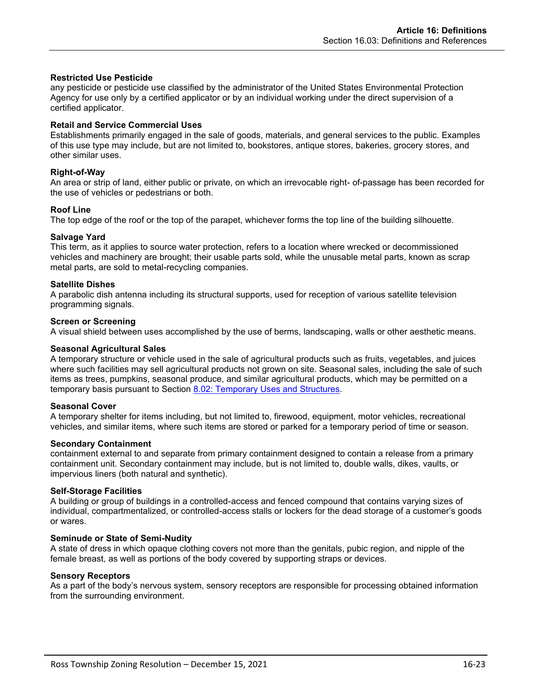#### **Restricted Use Pesticide**

any pesticide or pesticide use classified by the administrator of the United States Environmental Protection Agency for use only by a certified applicator or by an individual working under the direct supervision of a certified applicator.

# **Retail and Service Commercial Uses**

Establishments primarily engaged in the sale of goods, materials, and general services to the public. Examples of this use type may include, but are not limited to, bookstores, antique stores, bakeries, grocery stores, and other similar uses.

# **Right-of-Way**

An area or strip of land, either public or private, on which an irrevocable right- of-passage has been recorded for the use of vehicles or pedestrians or both.

# **Roof Line**

The top edge of the roof or the top of the parapet, whichever forms the top line of the building silhouette.

# **Salvage Yard**

This term, as it applies to source water protection, refers to a location where wrecked or decommissioned vehicles and machinery are brought; their usable parts sold, while the unusable metal parts, known as scrap metal parts, are sold to metal-recycling companies.

# **Satellite Dishes**

A parabolic dish antenna including its structural supports, used for reception of various satellite television programming signals.

#### **Screen or Screening**

A visual shield between uses accomplished by the use of berms, landscaping, walls or other aesthetic means.

#### **Seasonal Agricultural Sales**

A temporary structure or vehicle used in the sale of agricultural products such as fruits, vegetables, and juices where such facilities may sell agricultural products not grown on site. Seasonal sales, including the sale of such items as trees, pumpkins, seasonal produce, and similar agricultural products, which may be permitted on a temporary basis pursuant to Section 8.02: Temporary Uses and Structures.

#### **Seasonal Cover**

A temporary shelter for items including, but not limited to, firewood, equipment, motor vehicles, recreational vehicles, and similar items, where such items are stored or parked for a temporary period of time or season.

#### **Secondary Containment**

containment external to and separate from primary containment designed to contain a release from a primary containment unit. Secondary containment may include, but is not limited to, double walls, dikes, vaults, or impervious liners (both natural and synthetic).

#### **Self-Storage Facilities**

A building or group of buildings in a controlled-access and fenced compound that contains varying sizes of individual, compartmentalized, or controlled-access stalls or lockers for the dead storage of a customer's goods or wares.

#### **Seminude or State of Semi-Nudity**

A state of dress in which opaque clothing covers not more than the genitals, pubic region, and nipple of the female breast, as well as portions of the body covered by supporting straps or devices.

#### **Sensory Receptors**

As a part of the body's nervous system, sensory receptors are responsible for processing obtained information from the surrounding environment.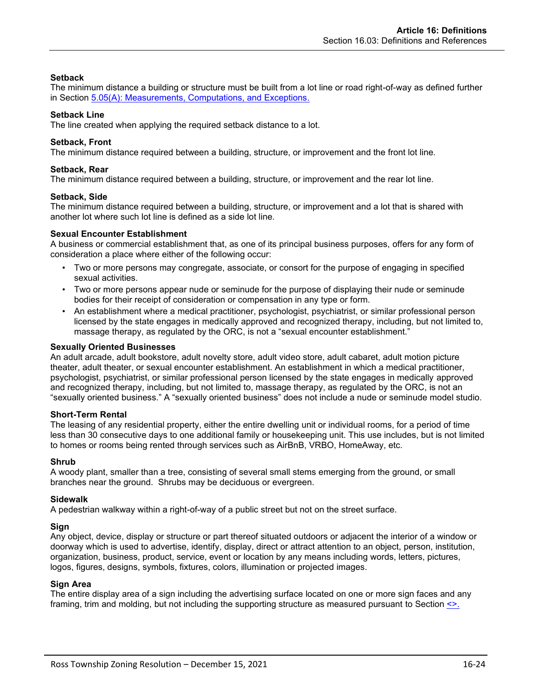# **Setback**

The minimum distance a building or structure must be built from a lot line or road right-of-way as defined further in Section  $5.05(A)$ : Measurements, Computations, and Exceptions.

### **Setback Line**

The line created when applying the required setback distance to a lot.

# **Setback, Front**

The minimum distance required between a building, structure, or improvement and the front lot line.

### **Setback, Rear**

The minimum distance required between a building, structure, or improvement and the rear lot line.

#### **Setback, Side**

The minimum distance required between a building, structure, or improvement and a lot that is shared with another lot where such lot line is defined as a side lot line.

#### **Sexual Encounter Establishment**

A business or commercial establishment that, as one of its principal business purposes, offers for any form of consideration a place where either of the following occur:

- Two or more persons may congregate, associate, or consort for the purpose of engaging in specified sexual activities.
- Two or more persons appear nude or seminude for the purpose of displaying their nude or seminude bodies for their receipt of consideration or compensation in any type or form.
- An establishment where a medical practitioner, psychologist, psychiatrist, or similar professional person licensed by the state engages in medically approved and recognized therapy, including, but not limited to, massage therapy, as regulated by the ORC, is not a "sexual encounter establishment."

#### **Sexually Oriented Businesses**

An adult arcade, adult bookstore, adult novelty store, adult video store, adult cabaret, adult motion picture theater, adult theater, or sexual encounter establishment. An establishment in which a medical practitioner, psychologist, psychiatrist, or similar professional person licensed by the state engages in medically approved and recognized therapy, including, but not limited to, massage therapy, as regulated by the ORC, is not an "sexually oriented business." A "sexually oriented business" does not include a nude or seminude model studio.

#### **Short-Term Rental**

The leasing of any residential property, either the entire dwelling unit or individual rooms, for a period of time less than 30 consecutive days to one additional family or housekeeping unit. This use includes, but is not limited to homes or rooms being rented through services such as AirBnB, VRBO, HomeAway, etc.

#### **Shrub**

A woody plant, smaller than a tree, consisting of several small stems emerging from the ground, or small branches near the ground. Shrubs may be deciduous or evergreen.

#### **Sidewalk**

A pedestrian walkway within a right-of-way of a public street but not on the street surface.

#### **Sign**

Any object, device, display or structure or part thereof situated outdoors or adjacent the interior of a window or doorway which is used to advertise, identify, display, direct or attract attention to an object, person, institution, organization, business, product, service, event or location by any means including words, letters, pictures, logos, figures, designs, symbols, fixtures, colors, illumination or projected images.

# **Sign Area**

The entire display area of a sign including the advertising surface located on one or more sign faces and any framing, trim and molding, but not including the supporting structure as measured pursuant to Section <>.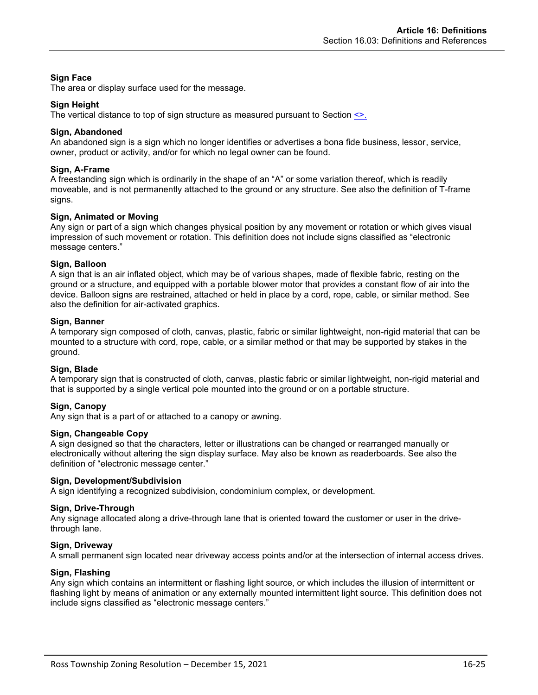# **Sign Face**

The area or display surface used for the message.

# **Sign Height**

The vertical distance to top of sign structure as measured pursuant to Section <>.

# **Sign, Abandoned**

An abandoned sign is a sign which no longer identifies or advertises a bona fide business, lessor, service, owner, product or activity, and/or for which no legal owner can be found.

# **Sign, A-Frame**

A freestanding sign which is ordinarily in the shape of an "A" or some variation thereof, which is readily moveable, and is not permanently attached to the ground or any structure. See also the definition of T-frame signs.

# **Sign, Animated or Moving**

Any sign or part of a sign which changes physical position by any movement or rotation or which gives visual impression of such movement or rotation. This definition does not include signs classified as "electronic message centers."

# **Sign, Balloon**

A sign that is an air inflated object, which may be of various shapes, made of flexible fabric, resting on the ground or a structure, and equipped with a portable blower motor that provides a constant flow of air into the device. Balloon signs are restrained, attached or held in place by a cord, rope, cable, or similar method. See also the definition for air-activated graphics.

# **Sign, Banner**

A temporary sign composed of cloth, canvas, plastic, fabric or similar lightweight, non-rigid material that can be mounted to a structure with cord, rope, cable, or a similar method or that may be supported by stakes in the ground.

# **Sign, Blade**

A temporary sign that is constructed of cloth, canvas, plastic fabric or similar lightweight, non-rigid material and that is supported by a single vertical pole mounted into the ground or on a portable structure.

# **Sign, Canopy**

Any sign that is a part of or attached to a canopy or awning.

### **Sign, Changeable Copy**

A sign designed so that the characters, letter or illustrations can be changed or rearranged manually or electronically without altering the sign display surface. May also be known as readerboards. See also the definition of "electronic message center."

#### **Sign, Development/Subdivision**

A sign identifying a recognized subdivision, condominium complex, or development.

#### **Sign, Drive-Through**

Any signage allocated along a drive-through lane that is oriented toward the customer or user in the drivethrough lane.

#### **Sign, Driveway**

A small permanent sign located near driveway access points and/or at the intersection of internal access drives.

#### **Sign, Flashing**

Any sign which contains an intermittent or flashing light source, or which includes the illusion of intermittent or flashing light by means of animation or any externally mounted intermittent light source. This definition does not include signs classified as "electronic message centers."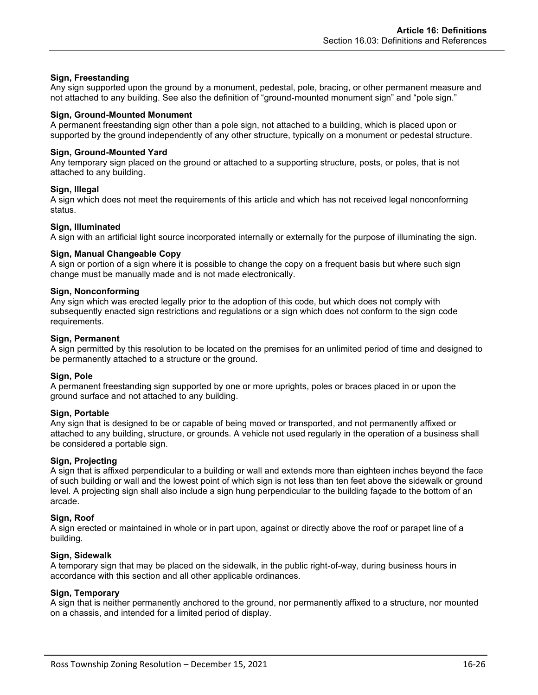# **Sign, Freestanding**

Any sign supported upon the ground by a monument, pedestal, pole, bracing, or other permanent measure and not attached to any building. See also the definition of "ground-mounted monument sign" and "pole sign."

#### **Sign, Ground-Mounted Monument**

A permanent freestanding sign other than a pole sign, not attached to a building, which is placed upon or supported by the ground independently of any other structure, typically on a monument or pedestal structure.

#### **Sign, Ground-Mounted Yard**

Any temporary sign placed on the ground or attached to a supporting structure, posts, or poles, that is not attached to any building.

#### **Sign, Illegal**

A sign which does not meet the requirements of this article and which has not received legal nonconforming status.

#### **Sign, Illuminated**

A sign with an artificial light source incorporated internally or externally for the purpose of illuminating the sign.

#### **Sign, Manual Changeable Copy**

A sign or portion of a sign where it is possible to change the copy on a frequent basis but where such sign change must be manually made and is not made electronically.

#### **Sign, Nonconforming**

Any sign which was erected legally prior to the adoption of this code, but which does not comply with subsequently enacted sign restrictions and regulations or a sign which does not conform to the sign code requirements.

#### **Sign, Permanent**

A sign permitted by this resolution to be located on the premises for an unlimited period of time and designed to be permanently attached to a structure or the ground.

#### **Sign, Pole**

A permanent freestanding sign supported by one or more uprights, poles or braces placed in or upon the ground surface and not attached to any building.

#### **Sign, Portable**

Any sign that is designed to be or capable of being moved or transported, and not permanently affixed or attached to any building, structure, or grounds. A vehicle not used regularly in the operation of a business shall be considered a portable sign.

#### **Sign, Projecting**

A sign that is affixed perpendicular to a building or wall and extends more than eighteen inches beyond the face of such building or wall and the lowest point of which sign is not less than ten feet above the sidewalk or ground level. A projecting sign shall also include a sign hung perpendicular to the building façade to the bottom of an arcade.

#### **Sign, Roof**

A sign erected or maintained in whole or in part upon, against or directly above the roof or parapet line of a building.

#### **Sign, Sidewalk**

A temporary sign that may be placed on the sidewalk, in the public right-of-way, during business hours in accordance with this section and all other applicable ordinances.

#### **Sign, Temporary**

A sign that is neither permanently anchored to the ground, nor permanently affixed to a structure, nor mounted on a chassis, and intended for a limited period of display.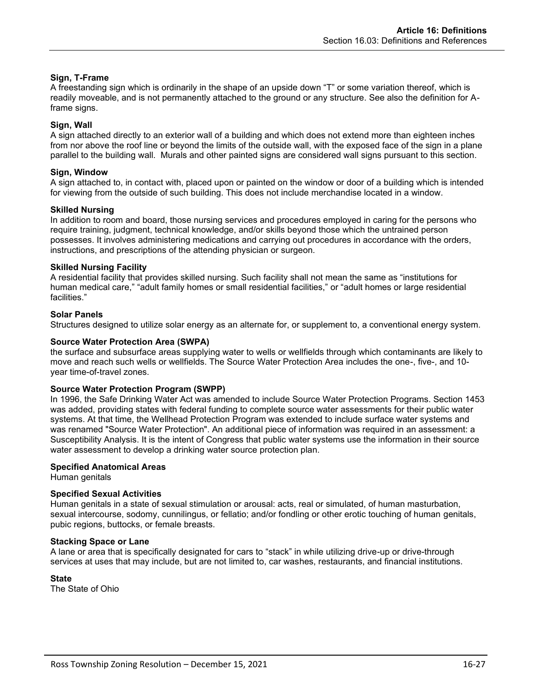# **Sign, T-Frame**

A freestanding sign which is ordinarily in the shape of an upside down "T" or some variation thereof, which is readily moveable, and is not permanently attached to the ground or any structure. See also the definition for Aframe signs.

# **Sign, Wall**

A sign attached directly to an exterior wall of a building and which does not extend more than eighteen inches from nor above the roof line or beyond the limits of the outside wall, with the exposed face of the sign in a plane parallel to the building wall. Murals and other painted signs are considered wall signs pursuant to this section.

#### **Sign, Window**

A sign attached to, in contact with, placed upon or painted on the window or door of a building which is intended for viewing from the outside of such building. This does not include merchandise located in a window.

# **Skilled Nursing**

In addition to room and board, those nursing services and procedures employed in caring for the persons who require training, judgment, technical knowledge, and/or skills beyond those which the untrained person possesses. It involves administering medications and carrying out procedures in accordance with the orders, instructions, and prescriptions of the attending physician or surgeon.

# **Skilled Nursing Facility**

A residential facility that provides skilled nursing. Such facility shall not mean the same as "institutions for human medical care," "adult family homes or small residential facilities," or "adult homes or large residential facilities."

# **Solar Panels**

Structures designed to utilize solar energy as an alternate for, or supplement to, a conventional energy system.

# **Source Water Protection Area (SWPA)**

the surface and subsurface areas supplying water to wells or wellfields through which contaminants are likely to move and reach such wells or wellfields. The Source Water Protection Area includes the one-, five-, and 10 year time-of-travel zones.

# **Source Water Protection Program (SWPP)**

In 1996, the Safe Drinking Water Act was amended to include Source Water Protection Programs. Section 1453 was added, providing states with federal funding to complete source water assessments for their public water systems. At that time, the Wellhead Protection Program was extended to include surface water systems and was renamed "Source Water Protection". An additional piece of information was required in an assessment: a [Susceptibility Analysis.](http://www.epa.state.oh.us/ddagw/swap_faqs.aspx#susceptibility) It is the intent of Congress that public water systems use the information in their source water assessment to develop a drinking water source protection plan.

#### **Specified Anatomical Areas**

Human genitals

#### **Specified Sexual Activities**

Human genitals in a state of sexual stimulation or arousal: acts, real or simulated, of human masturbation, sexual intercourse, sodomy, cunnilingus, or fellatio; and/or fondling or other erotic touching of human genitals, pubic regions, buttocks, or female breasts.

#### **Stacking Space or Lane**

A lane or area that is specifically designated for cars to "stack" in while utilizing drive-up or drive-through services at uses that may include, but are not limited to, car washes, restaurants, and financial institutions.

# **State**

The State of Ohio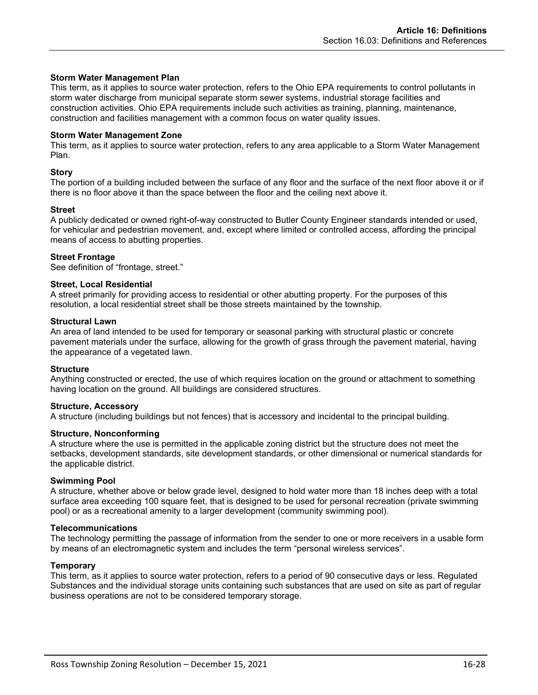#### **Storm Water Management Plan**

This term, as it applies to source water protection, refers to the Ohio EPA requirements to control pollutants in storm water discharge from municipal separate storm sewer systems, industrial storage facilities and construction activities. Ohio EPA requirements include such activities as training, planning, maintenance, construction and facilities management with a common focus on water quality issues.

#### **Storm Water Management Zone**

This term, as it applies to source water protection, refers to any area applicable to a Storm Water Management Plan.

#### **Story**

The portion of a building included between the surface of any floor and the surface of the next floor above it or if there is no floor above it than the space between the floor and the ceiling next above it.

#### **Street**

A publicly dedicated or owned right-of-way constructed to Butler County Engineer standards intended or used, for vehicular and pedestrian movement, and, except where limited or controlled access, affording the principal means of access to abutting properties.

#### **Street Frontage**

See definition of "frontage, street."

#### **Street, Local Residential**

A street primarily for providing access to residential or other abutting property. For the purposes of this resolution, a local residential street shall be those streets maintained by the township.

#### **Structural Lawn**

An area of land intended to be used for temporary or seasonal parking with structural plastic or concrete pavement materials under the surface, allowing for the growth of grass through the pavement material, having the appearance of a vegetated lawn.

#### **Structure**

Anything constructed or erected, the use of which requires location on the ground or attachment to something having location on the ground. All buildings are considered structures.

#### **Structure, Accessory**

A structure (including buildings but not fences) that is accessory and incidental to the principal building.

#### **Structure, Nonconforming**

A structure where the use is permitted in the applicable zoning district but the structure does not meet the setbacks, development standards, site development standards, or other dimensional or numerical standards for the applicable district.

#### **Swimming Pool**

A structure, whether above or below grade level, designed to hold water more than 18 inches deep with a total surface area exceeding 100 square feet, that is designed to be used for personal recreation (private swimming pool) or as a recreational amenity to a larger development (community swimming pool).

#### **Telecommunications**

The technology permitting the passage of information from the sender to one or more receivers in a usable form by means of an electromagnetic system and includes the term "personal wireless services".

#### **Temporary**

This term, as it applies to source water protection, refers to a period of 90 consecutive days or less. Regulated Substances and the individual storage units containing such substances that are used on site as part of regular business operations are not to be considered temporary storage.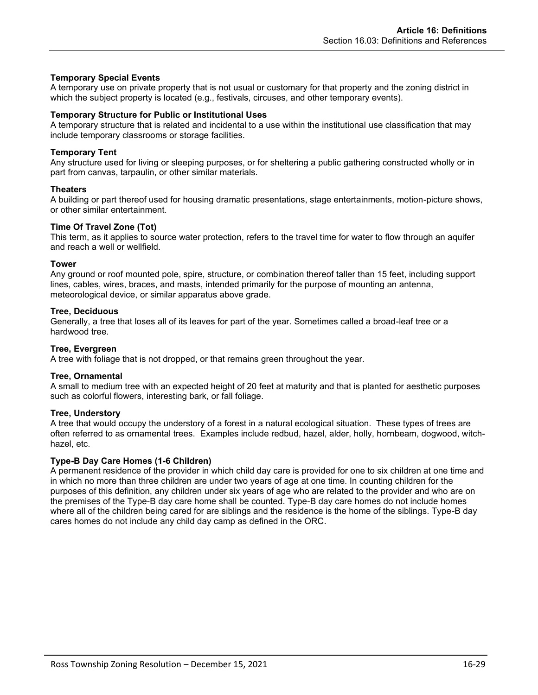# **Temporary Special Events**

A temporary use on private property that is not usual or customary for that property and the zoning district in which the subject property is located (e.g., festivals, circuses, and other temporary events).

#### **Temporary Structure for Public or Institutional Uses**

A temporary structure that is related and incidental to a use within the institutional use classification that may include temporary classrooms or storage facilities.

#### **Temporary Tent**

Any structure used for living or sleeping purposes, or for sheltering a public gathering constructed wholly or in part from canvas, tarpaulin, or other similar materials.

#### **Theaters**

A building or part thereof used for housing dramatic presentations, stage entertainments, motion-picture shows, or other similar entertainment.

#### **Time Of Travel Zone (Tot)**

This term, as it applies to source water protection, refers to the travel time for water to flow through an aquifer and reach a well or wellfield.

#### **Tower**

Any ground or roof mounted pole, spire, structure, or combination thereof taller than 15 feet, including support lines, cables, wires, braces, and masts, intended primarily for the purpose of mounting an antenna, meteorological device, or similar apparatus above grade.

#### **Tree, Deciduous**

Generally, a tree that loses all of its leaves for part of the year. Sometimes called a broad-leaf tree or a hardwood tree.

#### **Tree, Evergreen**

A tree with foliage that is not dropped, or that remains green throughout the year.

#### **Tree, Ornamental**

A small to medium tree with an expected height of 20 feet at maturity and that is planted for aesthetic purposes such as colorful flowers, interesting bark, or fall foliage.

#### **Tree, Understory**

A tree that would occupy the understory of a forest in a natural ecological situation. These types of trees are often referred to as ornamental trees. Examples include redbud, hazel, alder, holly, hornbeam, dogwood, witchhazel, etc.

#### **Type-B Day Care Homes (1-6 Children)**

A permanent residence of the provider in which child day care is provided for one to six children at one time and in which no more than three children are under two years of age at one time. In counting children for the purposes of this definition, any children under six years of age who are related to the provider and who are on the premises of the Type-B day care home shall be counted. Type-B day care homes do not include homes where all of the children being cared for are siblings and the residence is the home of the siblings. Type-B day cares homes do not include any child day camp as defined in the ORC.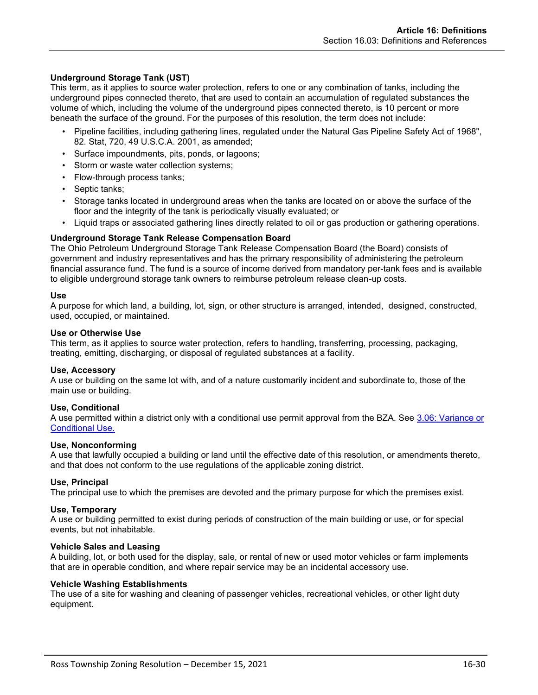# **Underground Storage Tank (UST)**

This term, as it applies to source water protection, refers to one or any combination of tanks, including the underground pipes connected thereto, that are used to contain an accumulation of regulated substances the volume of which, including the volume of the underground pipes connected thereto, is 10 percent or more beneath the surface of the ground. For the purposes of this resolution, the term does not include:

- Pipeline facilities, including gathering lines, regulated under the Natural Gas Pipeline Safety Act of 1968", 82. Stat, 720, 49 U.S.C.A. 2001, as amended;
- Surface impoundments, pits, ponds, or lagoons;
- Storm or waste water collection systems;
- Flow-through process tanks;
- Septic tanks;
- Storage tanks located in underground areas when the tanks are located on or above the surface of the floor and the integrity of the tank is periodically visually evaluated; or
- Liquid traps or associated gathering lines directly related to oil or gas production or gathering operations.

# **Underground Storage Tank Release Compensation Board**

The Ohio Petroleum Underground Storage Tank Release Compensation Board (the Board) consists of government and industry representatives and has the primary responsibility of administering the petroleum financial assurance fund. The fund is a source of income derived from mandatory per-tank fees and is available to eligible underground storage tank owners to reimburse petroleum release clean-up costs.

#### **Use**

A purpose for which land, a building, lot, sign, or other structure is arranged, intended, designed, constructed, used, occupied, or maintained.

#### **Use or Otherwise Use**

This term, as it applies to source water protection, refers to handling, transferring, processing, packaging, treating, emitting, discharging, or disposal of regulated substances at a facility.

#### **Use, Accessory**

A use or building on the same lot with, and of a nature customarily incident and subordinate to, those of the main use or building.

#### **Use, Conditional**

A use permitted within a district only with a conditional use permit approval from the BZA. See 3.06: Variance or Conditional Use.

#### **Use, Nonconforming**

A use that lawfully occupied a building or land until the effective date of this resolution, or amendments thereto, and that does not conform to the use regulations of the applicable zoning district.

#### **Use, Principal**

The principal use to which the premises are devoted and the primary purpose for which the premises exist.

#### **Use, Temporary**

A use or building permitted to exist during periods of construction of the main building or use, or for special events, but not inhabitable.

#### **Vehicle Sales and Leasing**

A building, lot, or both used for the display, sale, or rental of new or used motor vehicles or farm implements that are in operable condition, and where repair service may be an incidental accessory use.

#### **Vehicle Washing Establishments**

The use of a site for washing and cleaning of passenger vehicles, recreational vehicles, or other light duty equipment.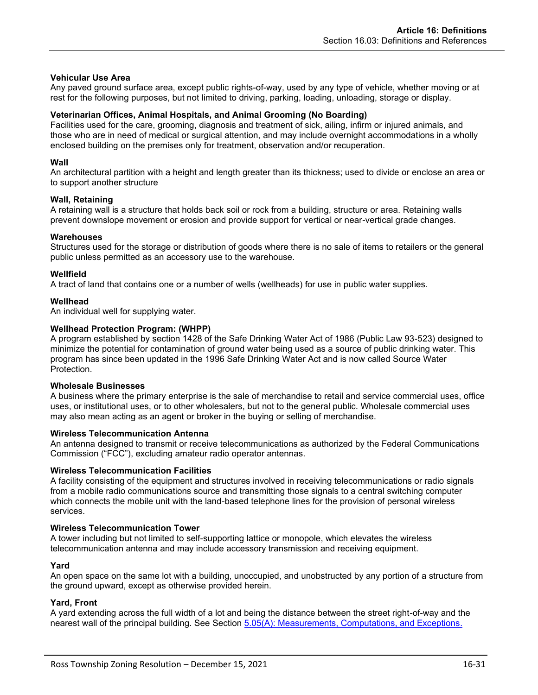### **Vehicular Use Area**

Any paved ground surface area, except public rights-of-way, used by any type of vehicle, whether moving or at rest for the following purposes, but not limited to driving, parking, loading, unloading, storage or display.

### **Veterinarian Offices, Animal Hospitals, and Animal Grooming (No Boarding)**

Facilities used for the care, grooming, diagnosis and treatment of sick, ailing, infirm or injured animals, and those who are in need of medical or surgical attention, and may include overnight accommodations in a wholly enclosed building on the premises only for treatment, observation and/or recuperation.

# **Wall**

An architectural partition with a height and length greater than its thickness; used to divide or enclose an area or to support another structure

#### **Wall, Retaining**

A retaining wall is a structure that holds back soil or rock from a building, structure or area. Retaining walls prevent downslope movement or erosion and provide support for vertical or near-vertical grade changes.

# **Warehouses**

Structures used for the storage or distribution of goods where there is no sale of items to retailers or the general public unless permitted as an accessory use to the warehouse.

# **Wellfield**

A tract of land that contains one or a number of wells (wellheads) for use in public water supplies.

# **Wellhead**

An individual well for supplying water.

# **Wellhead Protection Program: (WHPP)**

A program established by section 1428 of the Safe Drinking Water Act of 1986 (Public Law 93-523) designed to minimize the potential for contamination of ground water being used as a source of public drinking water. This program has since been updated in the 1996 Safe Drinking Water Act and is now called Source Water **Protection** 

#### **Wholesale Businesses**

A business where the primary enterprise is the sale of merchandise to retail and service commercial uses, office uses, or institutional uses, or to other wholesalers, but not to the general public. Wholesale commercial uses may also mean acting as an agent or broker in the buying or selling of merchandise.

#### **Wireless Telecommunication Antenna**

An antenna designed to transmit or receive telecommunications as authorized by the Federal Communications Commission ("FCC"), excluding amateur radio operator antennas.

#### **Wireless Telecommunication Facilities**

A facility consisting of the equipment and structures involved in receiving telecommunications or radio signals from a mobile radio communications source and transmitting those signals to a central switching computer which connects the mobile unit with the land-based telephone lines for the provision of personal wireless services.

#### **Wireless Telecommunication Tower**

A tower including but not limited to self-supporting lattice or monopole, which elevates the wireless telecommunication antenna and may include accessory transmission and receiving equipment.

#### **Yard**

An open space on the same lot with a building, unoccupied, and unobstructed by any portion of a structure from the ground upward, except as otherwise provided herein.

# **Yard, Front**

A yard extending across the full width of a lot and being the distance between the street right-of-way and the nearest wall of the principal building. See Section 5.05(A): Measurements, Computations, and Exceptions.